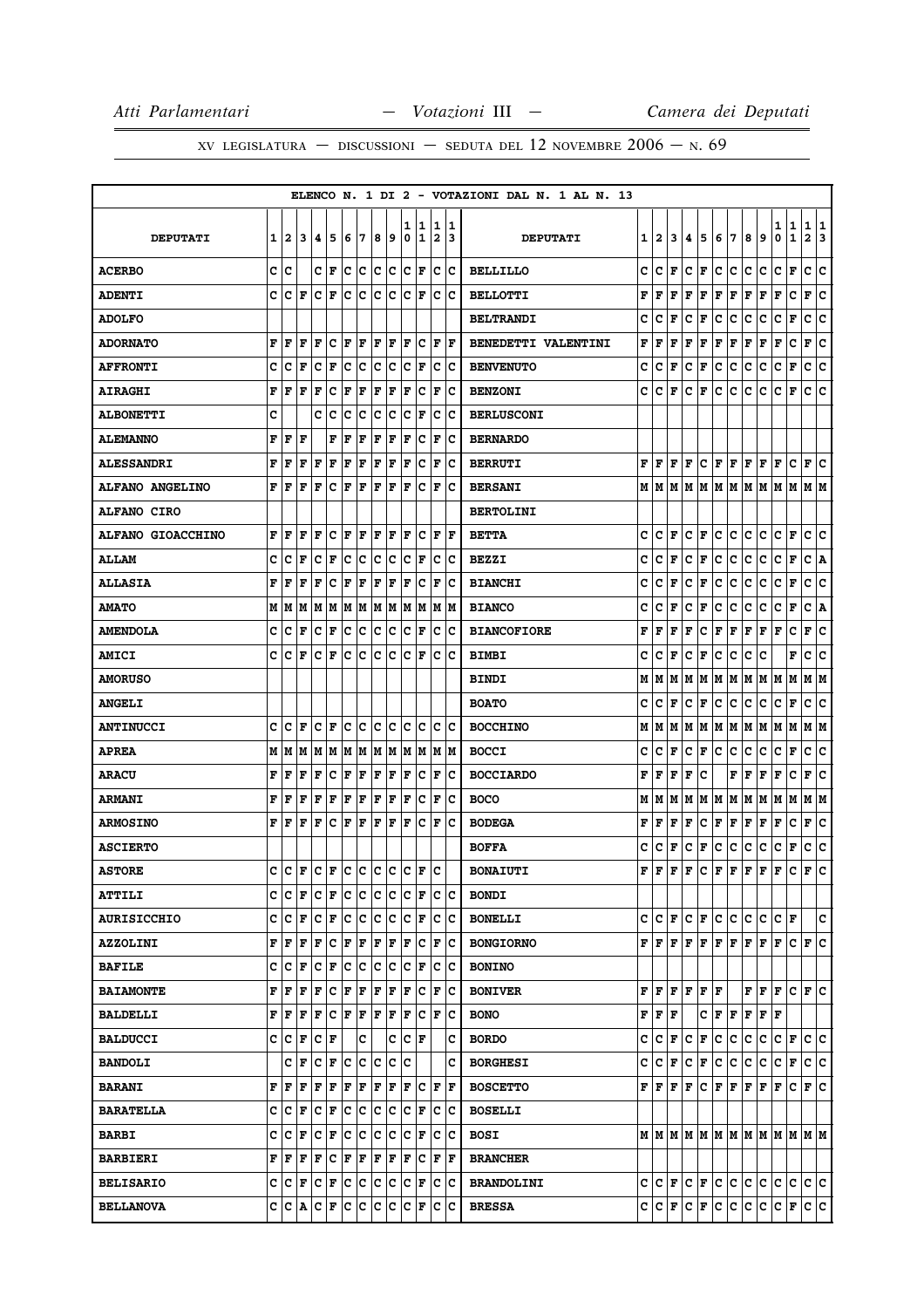|                          |   |              |                   |                      |              |     |     |     |     |        |                    |                              |         | ELENCO N. 1 DI 2 - VOTAZIONI DAL N. 1 AL N. 13 |   |                   |                                                                             |              |                      |              |                            |      |           |                      |                             |                   |         |
|--------------------------|---|--------------|-------------------|----------------------|--------------|-----|-----|-----|-----|--------|--------------------|------------------------------|---------|------------------------------------------------|---|-------------------|-----------------------------------------------------------------------------|--------------|----------------------|--------------|----------------------------|------|-----------|----------------------|-----------------------------|-------------------|---------|
| <b>DEPUTATI</b>          | 1 | $\mathbf{2}$ | 3                 | 4                    | 5            | 6   | 7   | 8   | 9   | 1<br>0 | 11.<br>$\mathbf 1$ | 1<br>$\overline{\mathbf{2}}$ | 11<br>3 | <b>DEPUTATI</b>                                | 1 | 2                 | 3                                                                           | 4            | 5                    | 6            | 17                         | 8    | 9         | 1<br>0               | $\mathbf{1}$<br>$\mathbf 1$ | 1<br>$\mathbf{2}$ | 11<br>3 |
| <b>ACERBO</b>            | C | lc           |                   |                      | сŀг          | lc. | lc. | lc. | c   | lc.    | F                  | lc.                          | Ιc      | <b>BELLILLO</b>                                | c | c                 | F                                                                           | c            | F                    | c            | lc.                        | c.   | c         | c                    | F                           | c                 | ١c      |
| <b>ADENTI</b>            | C | c            | F                 | c                    | F            | c   | c   | c   | c   | lc     | F                  | c                            | Iс      | <b>BELLOTTI</b>                                | F | F                 | F                                                                           | F            | F                    | $\mathbf F$  | F                          | F    | F         | F                    | c                           | F                 | lc.     |
| <b>ADOLFO</b>            |   |              |                   |                      |              |     |     |     |     |        |                    |                              |         | <b>BELTRANDI</b>                               | c | c                 | F                                                                           | c            | F                    | c            | c                          | с    | c         | с                    | $\mathbf F$                 | c                 | c       |
| <b>ADORNATO</b>          | F | F            | F                 | F                    | Iс           | F   | F   | F   | F   | l F    | c                  | F                            | lF      | BENEDETTI VALENTINI                            | F | F                 | F                                                                           | F            | F                    | F            | F                          | F    | F         | F                    | c                           | Г                 | lc.     |
| <b>AFFRONTI</b>          | c | c            | F                 | c                    | $\mathbf F$  | c   | c   | c   | c   | c      | F                  | c                            | c       | <b>BENVENUTO</b>                               | c | c                 | F                                                                           | c            | F                    | c            | с                          | с    | с         | с                    | F                           | c                 | c       |
| <b>AIRAGHI</b>           | F | F            | l F               | F                    | c            | F   | F   | F   | F   | F      | c                  | $\mathbf F$                  | Ιc      | <b>BENZONI</b>                                 | c | с                 | F                                                                           | c            | F                    | c            | c                          | c    | с         | c                    | F                           | c                 | lc.     |
| <b>ALBONETTI</b>         | c |              |                   | c                    | c            | c   | c   | c   | c   | c      | F                  | c                            | c       | <b>BERLUSCONI</b>                              |   |                   |                                                                             |              |                      |              |                            |      |           |                      |                             |                   |         |
| <b>ALEMANNO</b>          | F | F            | F                 |                      | F            | F   | F   | F   | F   | F      | lc.                | F                            | lc      | <b>BERNARDO</b>                                |   |                   |                                                                             |              |                      |              |                            |      |           |                      |                             |                   |         |
| <b>ALESSANDRI</b>        | F | F            | F                 | F                    | F            | F   | F   | F   | F   | l F    | c                  | ΙF                           | Ιc      | <b>BERRUTI</b>                                 | F | l F               | F                                                                           | F            | lc.                  | F            | F                          | F    | F         | F                    | c                           | F                 | lc.     |
| <b>ALFANO ANGELINO</b>   | F | F            | F                 | F                    | C            | ΙF  | F   | F   | F   | F      | c                  | F                            | c       | <b>BERSANI</b>                                 | М | lм                | M                                                                           | M            | lМ                   | lм           | IМ                         | M    | lм        | M                    | M                           | M   M             |         |
| <b>ALFANO CIRO</b>       |   |              |                   |                      |              |     |     |     |     |        |                    |                              |         | <b>BERTOLINI</b>                               |   |                   |                                                                             |              |                      |              |                            |      |           |                      |                             |                   |         |
| <b>ALFANO GIOACCHINO</b> | F | F            | F                 | F                    | c            | F   | F   | F   | F   | F      | c                  | F                            | l F     | <b>BETTA</b>                                   | c | c                 | F                                                                           | c            | F                    | c            | с                          | с    | c         | с                    | F                           | с                 | c       |
| <b>ALLAM</b>             | c | c            | F                 | c                    | $\mathbf F$  | c   | ∣c  | c   | c   | c      | F                  | c                            | Iс      | <b>BEZZI</b>                                   | c | c                 | F                                                                           | c            | F                    | $\mathbf{C}$ | c                          | c    | с         | с                    | F                           | C A               |         |
| <b>ALLASIA</b>           | F | F            | F                 | F                    | C            | F   | F   | F   | F   | F      | c                  | F                            | Ιc      | <b>BIANCHI</b>                                 | C | c                 | F                                                                           | c            | F                    | c            | с                          | с    | c         | c                    | F                           | c                 | ∣c      |
| <b>AMATO</b>             | М | M            | M                 | M                    | M            | lМ  | M   | M   | M   | M      | M                  | M                            | M       | <b>BIANCO</b>                                  | c | c                 | F                                                                           | c            | F                    | c            | c                          | с    | с         | с                    | F                           | c                 | ١A      |
| <b>AMENDOLA</b>          | c | c            | F                 | c                    | F            | c   | c   | c   | c   | c      | F                  | c                            | Iс      | <b>BIANCOFIORE</b>                             | F | F                 | F                                                                           | F            | c                    | F            | F                          | F    | F         | F                    | c                           | F                 | c       |
| <b>AMICI</b>             | c | c            | F                 | c                    | F            | c   | c   | c   | c   | c      | F                  | c                            | c       | <b>BIMBI</b>                                   | c | c                 | F                                                                           | c            | F                    | c            | с                          | с    | c         |                      | F                           | c                 | c       |
| <b>AMORUSO</b>           |   |              |                   |                      |              |     |     |     |     |        |                    |                              |         | <b>BINDI</b>                                   | М | М                 | M                                                                           | M            | M                    | M M          |                            |      | M   M   M |                      | M                           | M  M              |         |
| <b>ANGELI</b>            |   |              |                   |                      |              |     |     |     |     |        |                    |                              |         | <b>BOATO</b>                                   | c | c                 | F                                                                           | с            | F                    | c            | с                          | с    | с         | с                    | F                           | с                 | с       |
| <b>ANTINUCCI</b>         | c | c            | l F               | c                    | l F          | lc. | c   | c   | c   | c      | c                  | c                            | Ιc      | <b>BOCCHINO</b>                                | М | М                 | M                                                                           | М            | M                    | M            | M                          | M  M |           | M M                  |                             | M M               |         |
| <b>APREA</b>             | М | M            | M                 | M                    | M            | M   | M   | M   | M   | M      | M                  | M                            | M       | <b>BOCCI</b>                                   | c | c                 | F                                                                           | c            | F                    | c            | c                          | с    | c         | c                    | F                           | c                 | c       |
| <b>ARACU</b>             | F | F            | F                 | F                    | c            | F   | F   | F   | F   | F      | c                  | ΙF                           | Ιc      | <b>BOCCIARDO</b>                               | F | F                 | F                                                                           | F            | c                    |              | F                          | F    | F         | F                    | с                           | F                 | ١c      |
| <b>ARMANI</b>            | F | F            | F                 | F                    | $\mathbf F$  | F   | F   | F   | F   | l F    | c                  | l F                          | Ιc      | <b>BOCO</b>                                    | М | м                 | lМ                                                                          | M            |                      | M   M   M    |                            | M M  |           | M                    | M                           | M  M              |         |
| <b>ARMOSINO</b>          | F | F            | F                 | F                    | C            | ΙF  | F   | F   | F   | F      | c                  | F                            | c       | <b>BODEGA</b>                                  | F | F                 | F                                                                           | $\mathbf{F}$ | с                    | $\mathbf F$  | F                          | F    | F         | F                    | с                           | Г                 | c       |
| <b>ASCIERTO</b>          |   |              |                   |                      |              |     |     |     |     |        |                    |                              |         | <b>BOFFA</b>                                   | c | c                 | F                                                                           | с            | F                    | c            | c                          | с    | с         | с                    | F                           | c                 | c       |
| <b>ASTORE</b>            | c | Iс           | F                 |                      | $ c _F c _C$ |     |     | lc. | lc. | lc.    | l F                | lc                           |         | <b>BONAIUTI</b>                                | F | l F               | F                                                                           | F            | c                    | F            | F                          | F    | F         | F                    | c                           | F                 | c       |
| <b>ATTILI</b>            | c | c            | F                 | c                    | F            | c   | c   | c   | c   | c      | F                  | c                            | Ιc      | <b>BONDI</b>                                   |   |                   |                                                                             |              |                      |              |                            |      |           |                      |                             |                   |         |
| <b>AURISICCHIO</b>       | C | c            | l F               | c                    | F            | lc. | c   | c   | lc  | lc.    | F                  | lc.                          | lc      | <b>BONELLI</b>                                 | c | lc.               | F                                                                           | c.           | F                    | c.           | c                          | c.   | lc.       | $ {\tt C}  {\tt F} $ |                             |                   | c       |
| <b>AZZOLINI</b>          | F | F            | F                 | F                    | c            | F   | F   | F   | F   | ΙF     | c                  | F                            | Ιc      | <b>BONGIORNO</b>                               |   |                   | $\mathbf{F} \left  \mathbf{F} \right  \mathbf{F} \left  \mathbf{F} \right $ |              | F                    | F            | $\bf{F}$ $\bf{F}$ $\bf{F}$ |      |           | lF.                  | $ c _F c$                   |                   |         |
| <b>BAFILE</b>            | c | c            | l F               | c                    | $\mathbf F$  | c   | ∣c  | c   | c   | c      | F                  | c                            | lc      | <b>BONINO</b>                                  |   |                   |                                                                             |              |                      |              |                            |      |           |                      |                             |                   |         |
| <b>BAIAMONTE</b>         | F | F            | F                 | F                    | $\mathbf C$  | F   | F   | F   | F   | l F    | c                  | ΙF                           | Ιc      | <b>BONIVER</b>                                 |   | F   F             | F                                                                           | lF.          | F F                  |              |                            | F F  |           | lF.                  | IC IF IC                    |                   |         |
| <b>BALDELLI</b>          | F | F            | F                 | F                    | c            | F   | F   | F   | F   | F      | c                  | F                            | Ιc      | <b>BONO</b>                                    |   | FFF               |                                                                             |              | с                    | F F          |                            |      | F F F     |                      |                             |                   |         |
| <b>BALDUCCI</b>          | c | c            | F                 | c                    | F            |     | c   |     | c   | c      | F                  |                              | c       | <b>BORDO</b>                                   | c | с                 | F                                                                           | c            | F                    | с            | c                          | c    | c         | $ {\bf C}  {\bf F} $ |                             | c c               |         |
| <b>BANDOLI</b>           |   | C            | F                 | c                    | F            | c   | c   | c   | lc. | lc     |                    |                              | c       | <b>BORGHESI</b>                                | c | $ {\tt C} \,  $ F |                                                                             | c.           | F                    | c            | c.                         | c.   | c         | c                    | F                           | c c               |         |
| <b>BARANI</b>            | F | F            | ΙF                | F                    | F            | F   | F   | F   | F   | ΙF     | c                  | F                            | F       | <b>BOSCETTO</b>                                | F | F                 | F                                                                           | F            | c                    | F            | F                          | F    | F         | F                    | c                           | F C               |         |
| <b>BARATELLA</b>         | c | c            | F                 | c                    | F            | lC. | lc. | c   | Ιc  | c      | F                  | c                            | Ιc      | <b>BOSELLI</b>                                 |   |                   |                                                                             |              |                      |              |                            |      |           |                      |                             |                   |         |
| <b>BARBI</b>             | c | c            | F                 | c                    | F            | c   | c   | c   | c   | c      | F                  | c                            | Iс      | <b>BOSI</b>                                    |   |                   |                                                                             |              |                      |              |                            |      |           |                      |                             |                   |         |
| <b>BARBIERI</b>          | F | F            | F                 | F                    | c            | F   | F   | F   | F   | l F    | c                  | l F                          | F       | <b>BRANCHER</b>                                |   |                   |                                                                             |              |                      |              |                            |      |           |                      |                             |                   |         |
| <b>BELISARIO</b>         | с |              | $ {\tt C} \,  $ F | $ {\bf C}  {\bf F} $ |              | lc. | ∣c  | c   | c   | IС     | F                  | c                            | ΙC      | <b>BRANDOLINI</b>                              |   | C   C   F         |                                                                             |              | C F                  | c c          |                            | c.   | c         | C                    | c                           | c c               |         |
| <b>BELLANOVA</b>         | c | C            | A                 | c                    | F            | c   | c   | c   | c   | lc.    | F                  | lc.                          | Ιc      | <b>BRESSA</b>                                  |   |                   | C C F                                                                       |              | $ {\bf C}  {\bf F} $ | c c          |                            | c c  |           | $ C $ F              |                             | c c               |         |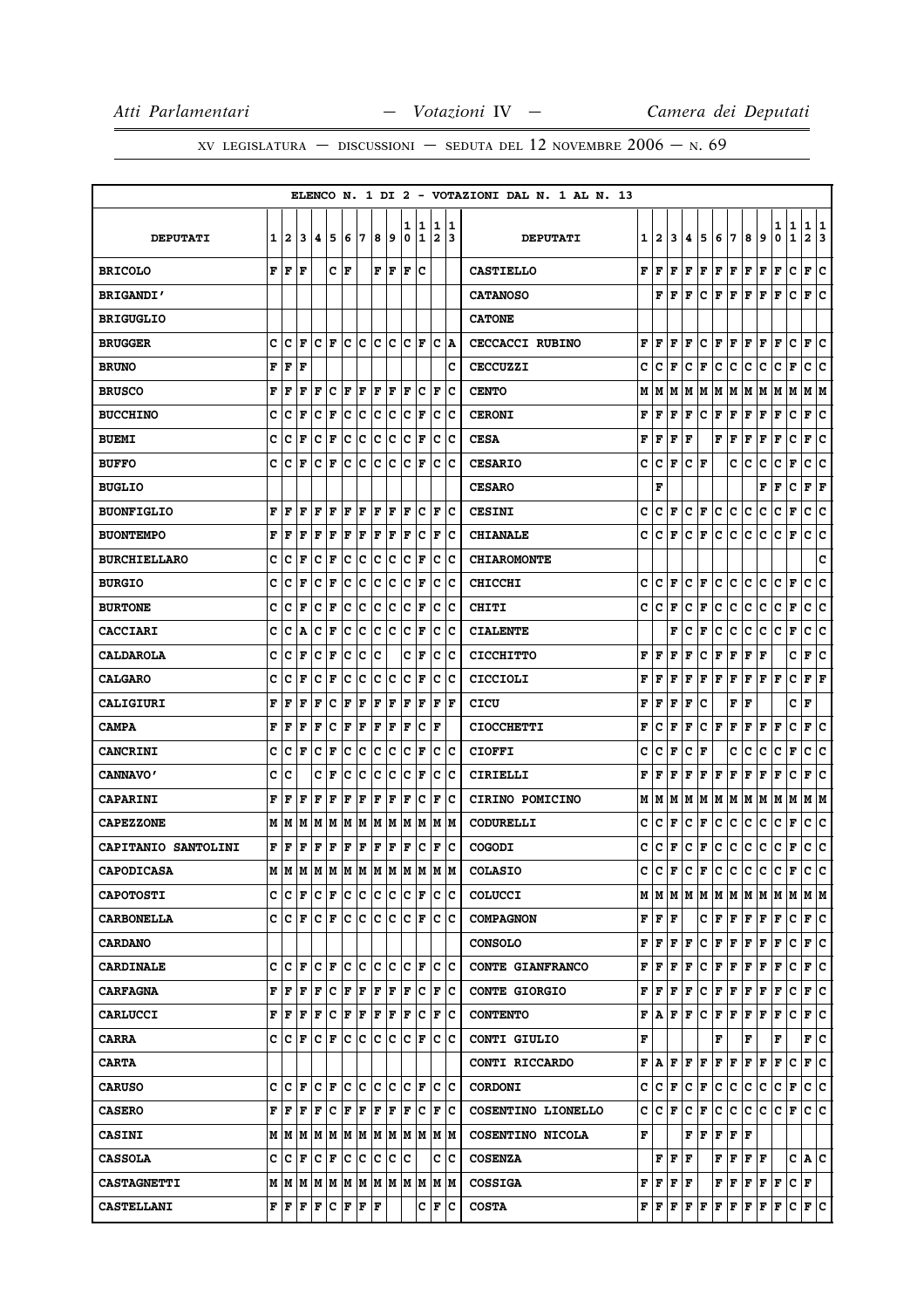|                     |   |              |                                               |     |             |     |     |     |     |        |                  |                              |        | ELENCO N. 1 DI 2 - VOTAZIONI DAL N. 1 AL N. 13 |   |                                           |                                   |             |              |     |              |      |                                                                       |        |                      |                   |        |
|---------------------|---|--------------|-----------------------------------------------|-----|-------------|-----|-----|-----|-----|--------|------------------|------------------------------|--------|------------------------------------------------|---|-------------------------------------------|-----------------------------------|-------------|--------------|-----|--------------|------|-----------------------------------------------------------------------|--------|----------------------|-------------------|--------|
| <b>DEPUTATI</b>     | 1 | $\mathbf{2}$ | 3                                             | 4   | 5           | 6   | 7   | 8   | 9   | 1<br>0 | 1<br>$\mathbf 1$ | 1<br>$\overline{\mathbf{2}}$ | 1<br>3 | <b>DEPUTATI</b>                                | 1 | 2                                         | 3                                 | 4           | 5            | 6   | 17           | 8    | 9                                                                     | 1<br>0 | 1<br>$\mathbf{1}$    | 1<br>$\mathbf{2}$ | 1<br>3 |
| <b>BRICOLO</b>      |   | FF           | ΙF                                            |     | c           | lF. |     | F   | F   | l F    | c                |                              |        | <b>CASTIELLO</b>                               | F | F                                         | F                                 | F           | F            | F   | F            | F    | F                                                                     | F      | с                    | F                 | c      |
| <b>BRIGANDI'</b>    |   |              |                                               |     |             |     |     |     |     |        |                  |                              |        | <b>CATANOSO</b>                                |   | F                                         | F                                 | F           | c            | F   | F            | F    | F                                                                     | F      | с                    | F                 | lc.    |
| <b>BRIGUGLIO</b>    |   |              |                                               |     |             |     |     |     |     |        |                  |                              |        | <b>CATONE</b>                                  |   |                                           |                                   |             |              |     |              |      |                                                                       |        |                      |                   |        |
| <b>BRUGGER</b>      | c | с            | F                                             | Iс  | ΙF          | lc. | Iс  | lc. | Iс  | c      | F                | c                            | A      | <b>CECCACCI RUBINO</b>                         | F | F                                         | F                                 | F           | c            | F   | F            | F    | F                                                                     | F      | с                    | F                 | Iс     |
| <b>BRUNO</b>        | F | F            | F                                             |     |             |     |     |     |     |        |                  |                              | c      | <b>CECCUZZI</b>                                | c | c                                         | F                                 | c           | $\mathbf{F}$ | c   | с            | с    | с                                                                     | с      | F                    | с                 | c      |
| <b>BRUSCO</b>       | F | F            | F                                             | F   | c           | F   | F   | F   | F   | ΙF     | c                | ΙF                           | Ιc     | <b>CENTO</b>                                   | М | M                                         | M                                 | M           | M            | M   | M            | M  M |                                                                       | M M    |                      | M  M              |        |
| <b>BUCCHINO</b>     | c | c            | F                                             | c   | F           | c   | c   | с   | c   | c      | F                | c                            | c      | <b>CERONI</b>                                  | F | F                                         | F                                 | F           | с            | F   | F            | F    | F                                                                     | F      | с                    | F                 | с      |
| <b>BUEMI</b>        | с | с            | F                                             | c   | F           | c   | c   | c   | c   | c      | F                | c                            | Ιc     | <b>CESA</b>                                    | F | F                                         | F                                 | F           |              | F   | F            | Г    | F                                                                     | г      | c                    | F                 | c      |
| <b>BUFFO</b>        | C | c            | ΙF                                            | c   | $\mathbf F$ | c   | c   | c   | с   | c      | F                | c                            | c      | <b>CESARIO</b>                                 | c | c                                         | F                                 | с           | F            |     | с            | с    | c                                                                     | c      | F                    | c                 | c      |
| <b>BUGLIO</b>       |   |              |                                               |     |             |     |     |     |     |        |                  |                              |        | <b>CESARO</b>                                  |   | F                                         |                                   |             |              |     |              |      | F                                                                     | F      | c                    | F                 | F      |
| <b>BUONFIGLIO</b>   | F | F            | F                                             | F   | ΙF          | F   | ΙF  | F   | F   | ΙF     | c                | ΙF                           | Ιc     | <b>CESINI</b>                                  | c | с                                         | F                                 | с           | F            | с   | c            | c    | c                                                                     | с      | F                    | с                 | lc.    |
| <b>BUONTEMPO</b>    | F | F            | F                                             | F   | F           | F   | F   | F   | F   | F      | c                | F                            | c      | <b>CHIANALE</b>                                | c | c                                         | F                                 | c           | F            | c   | с            | с    | с                                                                     | с      | F                    | с                 | c      |
| <b>BURCHIELLARO</b> | c | c            | F                                             | c   | F           | с   | ∣c  | c   | c   | c      | F                | c                            | Iс     | <b>CHIAROMONTE</b>                             |   |                                           |                                   |             |              |     |              |      |                                                                       |        |                      |                   | c      |
| <b>BURGIO</b>       | c | c            | F                                             | c   | F           | c   | c   | с   | c   | c      | F                | c                            | Iс     | CHICCHI                                        | c | с                                         | F                                 | c           | F            | c   | с            | с    | с                                                                     | с      | F                    | с                 | c      |
| <b>BURTONE</b>      | c | c            | F                                             | c   | $\mathbf F$ | c   | c   | c   | c   | c      | F                | c                            | c      | CHITI                                          | c | c                                         | F                                 | c           | F            | с   | с            | c    | c                                                                     | с      | F                    | c                 | c      |
| <b>CACCIARI</b>     | C | c            | A                                             | c   | $\mathbf F$ | C   | c   | c   | lc  | C      | F                | lc                           | c      | <b>CIALENTE</b>                                |   |                                           | F                                 | c           | F            | c   | с            | c    | c                                                                     | c      | F                    | c                 | c      |
| <b>CALDAROLA</b>    | c | c            | F                                             | c   | F           | c   | c   | c   |     | c      | F                | c                            | Ιc     | <b>CICCHITTO</b>                               | F | l F                                       | F                                 | F           | с            | F   | F            | F    | F                                                                     |        | c                    | F                 | Ιc     |
| <b>CALGARO</b>      | c | c            | F                                             | c   | F           | c   | c   | c   | с   | c      | F                | c                            | Iс     | CICCIOLI                                       | F | F                                         | F                                 | F           | F            | F   | F            | F    | F                                                                     | F      | c                    | F                 | ΙF     |
| <b>CALIGIURI</b>    | F | F            | F                                             | F   | C           | F   | F   | F   | F   | F      | F                | F                            | ΙF     | CICU                                           | F | F                                         | F                                 | F           | c            |     | F            | F    |                                                                       |        | c                    | F                 |        |
| <b>CAMPA</b>        | F | F            | F                                             | F   | c           | F   | F   | F   | F   | F      | c                | l F                          |        | <b>CIOCCHETTI</b>                              | F | c                                         | F                                 | F           | c            | F   | F            | F    | F                                                                     | F      | c                    | F                 | Ιc     |
| <b>CANCRINI</b>     | c | c            | F                                             | c   | F           | c   | c   | c   | c   | c      | F                | c                            | c      | <b>CIOFFI</b>                                  | c | c                                         | F                                 | c           | F            |     | c            | c    | c                                                                     | с      | F                    | с                 | c      |
| CANNAVO'            | c | c            |                                               | c   | $\mathbf F$ | c   | c   | c   | c   | c      | F                | c                            | c      | CIRIELLI                                       | F | F                                         | F                                 | F           | F            | Г   | F            | Г    | $\mathbf{F}$                                                          | F      | c                    | F                 | c      |
| <b>CAPARINI</b>     | F | F            | F                                             | F   | $\mathbf F$ | F   | F   | F   | F   | F      | c                | F                            | c      | CIRINO POMICINO                                | М | м                                         | M                                 | M           | M            | M   | M            | M    | M                                                                     | M      | M                    | M   M             |        |
| <b>CAPEZZONE</b>    | М | M            | M                                             | M   | M           | M   | M   | M   | M   | M      | M                | M                            | M      | <b>CODURELLI</b>                               | c | c                                         | F                                 | c           | F            | c   | с            | с    | с                                                                     | с      | F                    | c                 | Ιc     |
| CAPITANIO SANTOLINI | F | F            | F                                             | F   | F           | F   | F   | F   | F   | F      | c                | F                            | c      | <b>COGODI</b>                                  | c | c                                         | F                                 | c           | F            | c   | c            | с    | c                                                                     | c      | F                    | c                 | c      |
| <b>CAPODICASA</b>   |   | M M          | lМ                                            | M   | M           | M   | M   | M   | M   | M      | M                | M                            | M      | <b>COLASIO</b>                                 | c | c                                         | F                                 | c           | F            | c   | c            | c    | c                                                                     | c      | F                    | c                 | lc.    |
| <b>CAPOTOSTI</b>    | с | c            | F                                             | с   | F           | c   | c   | IС  | с   | c      | F                | c                            | Iс     | COLUCCI                                        |   |                                           |                                   |             |              |     |              |      | $M$   $M$   $M$   $M$   $M$   $M$   $M$   $M$   $M$   $M$   $M$   $M$ |        |                      |                   |        |
| <b>CARBONELLA</b>   | C | c            | l F                                           | Iс  | F           | lc. | c   | c   | c   | c      | F                | lc.                          | lc     | <b>COMPAGNON</b>                               |   | ${\bf F} \,   \, {\bf F} \,   \, {\bf F}$ |                                   |             | c            | F   | F            | F F  |                                                                       | F      | с                    | F C               |        |
| <b>CARDANO</b>      |   |              |                                               |     |             |     |     |     |     |        |                  |                              |        | <b>CONSOLO</b>                                 | F | F                                         |                                   | F F         | lc.          | F   | F            | F    | F                                                                     | F      | c                    | F C               |        |
| <b>CARDINALE</b>    | c | c            | l F                                           | c   | l F         | lc. | lc. | c   | Ιc  | c      | F                | c                            | lc     | CONTE GIANFRANCO                               | F | F                                         | F                                 | $\mathbf F$ | c            | F   | F            | F    | F                                                                     | F      | c                    | F C               |        |
| <b>CARFAGNA</b>     | F | F            | F                                             | F   | c           | F   | F   | F   | F   | F      | Iс               | F                            | Ιc     | <b>CONTE GIORGIO</b>                           | F | F                                         | F                                 | F           | c            | F F |              | F F  |                                                                       | F      | с                    | F C               |        |
| <b>CARLUCCI</b>     | F | F            | F                                             | F   | c           | F   | F   | F   | F   | F      | c                | F                            | Ιc     | <b>CONTENTO</b>                                | F | A                                         |                                   | F F         | c            | F F |              | F F  |                                                                       | F      | c                    | F C               |        |
| <b>CARRA</b>        | c | ١c           | F                                             | lc. | l F         | lc. | lc. | lc. | lc. | c      | F                | c                            | Ιc     | CONTI GIULIO                                   | F |                                           |                                   |             |              | F   |              | F    |                                                                       | F      |                      | F C               |        |
| <b>CARTA</b>        |   |              |                                               |     |             |     |     |     |     |        |                  |                              |        | CONTI RICCARDO                                 |   |                                           |                                   | F A F F F   |              | F F |              | F F  |                                                                       | F C    |                      | F C               |        |
| <b>CARUSO</b>       | c | c            | ΙF                                            | c   | l F         | c   | c   | c   | lc  | c      | F                | c                            | Ιc     | <b>CORDONI</b>                                 | c | $ {\bf C}  {\bf F} $                      |                                   | c           | F            | c   | c            | c    | с                                                                     | с      | F                    | c  c              |        |
| <b>CASERO</b>       | F | F            | F                                             | F   | Iс          | F   | F   | F   | F   | l F    | lc.              | F                            | lc     | COSENTINO LIONELLO                             | c |                                           | $ {\tt C} \,  $ $\bf F \,$        | c           | F            | c   | c.           | C    | lc.                                                                   | lc.    | F                    | c c               |        |
| <b>CASINI</b>       |   | MM           | lм                                            |     |             |     |     |     |     |        |                  | M  M  M  M  M  M  M  M  M  M |        | COSENTINO NICOLA                               | F |                                           |                                   | F           | F            | F   | F F          |      |                                                                       |        |                      |                   |        |
| <b>CASSOLA</b>      | c | с            | F                                             | Iс  | F           | lc. | lc. | lc. | lc. | Ιc     |                  | c                            | ١c     | <b>COSENZA</b>                                 |   |                                           | FFF                               |             |              | F   | $\mathbf{F}$ | F F  |                                                                       |        | $C  \mathbf{A}  C$   |                   |        |
| <b>CASTAGNETTI</b>  |   |              | $M$   $M$   $M$   $M$   $M$   $M$   $M$   $M$ |     |             |     |     |     |     |        |                  | M  M  M  M                   |        | <b>COSSIGA</b>                                 |   |                                           | ${\bf F}$ $\bf F$ $\bf F$ $\bf F$ |             |              | F F |              |      | F F F                                                                 |        | $ {\bf C}  {\bf F} $ |                   |        |
| <b>CASTELLANI</b>   | F | ΙF           | F                                             | F   | c           | F   | F   | F   |     |        | c                | F                            | Iс     | <b>COSTA</b>                                   |   |                                           | ${\bf F}$ $\bf{F}$ $\bf{F}$       | F           | F            | F   | F            | F F  |                                                                       | F      | c                    | F C               |        |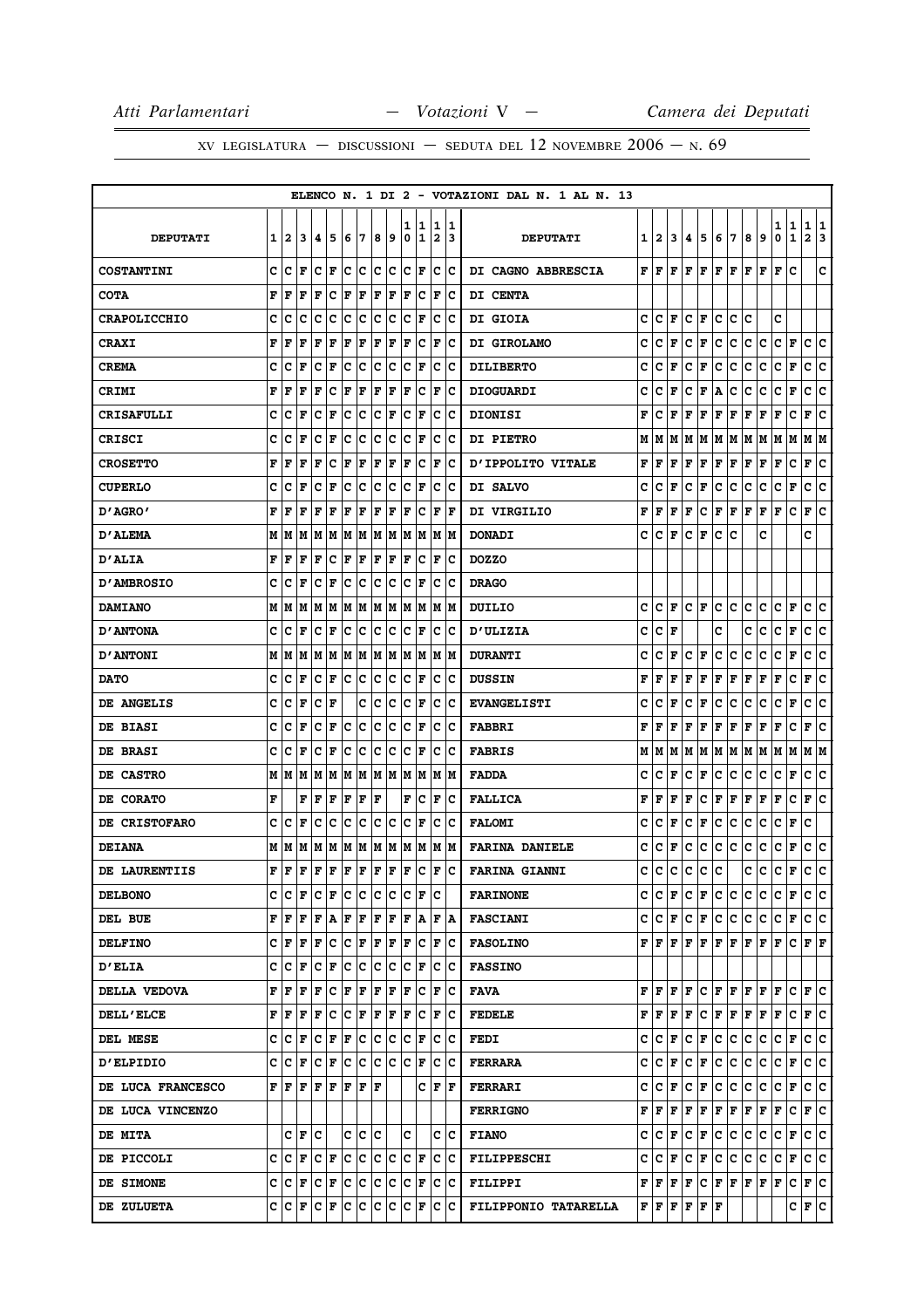|                     |   |     |                      |                        |     |     |                   |     |     |        |                               |                              |                      | ELENCO N. 1 DI 2 - VOTAZIONI DAL N. 1 AL N. 13 |   |                      |   |     |                                                                                   |     |           |    |     |                      |                               |                   |        |
|---------------------|---|-----|----------------------|------------------------|-----|-----|-------------------|-----|-----|--------|-------------------------------|------------------------------|----------------------|------------------------------------------------|---|----------------------|---|-----|-----------------------------------------------------------------------------------|-----|-----------|----|-----|----------------------|-------------------------------|-------------------|--------|
| <b>DEPUTATI</b>     | 1 | 2   | 3                    | 4                      | 5   | 6   | 7                 | 8   | و ا | ı<br>0 | 1<br>$\mathbf{1}$             | 1<br>$\overline{\mathbf{2}}$ | 1<br>3               | <b>DEPUTATI</b>                                |   | $1 \, 12$            | 3 | 4   | 5                                                                                 | 6   | 7         | 8  | 9   | 1<br>0               | 1<br>1                        | 1<br>$\mathbf{2}$ | 1<br>3 |
| <b>COSTANTINI</b>   | c | с   | ΙF                   | c                      | ΙF  | c   | c                 | c   | c   | c      | F                             | c                            | IС                   | DI CAGNO ABBRESCIA                             |   | $F$ $\overline{F}$   | F | lF. | F                                                                                 | lF. | l F       | F  | F   | F                    | c                             |                   | C      |
| <b>COTA</b>         | F | F   | F                    | F                      | c   | F   | F                 | F   | F   | F      | c                             | F                            | c                    | <b>DI CENTA</b>                                |   |                      |   |     |                                                                                   |     |           |    |     |                      |                               |                   |        |
| <b>CRAPOLICCHIO</b> | c | c   | c                    | c                      | c   | c   | c                 | с   | c   | с      | F                             | c                            | c                    | DI GIOIA                                       | c | lC.                  | F | с   | F                                                                                 | c   | c         | c  |     | c                    |                               |                   |        |
| <b>CRAXI</b>        | F | F   | F                    | F                      | F   | F   | F                 | F   | F   | F      | c                             | F                            | Ιc                   | DI GIROLAMO                                    | c | c                    | F | c   | F                                                                                 | c   | c         | с  | c   | c                    | F                             | с                 | c      |
| <b>CREMA</b>        | c | c   | F                    | c                      | F   | c   | c                 | c   | c   | c      | F                             | c                            | с                    | <b>DILIBERTO</b>                               | c | c                    | F | с   | F                                                                                 | c   | с         | c  | c   | c                    | F                             | с                 | c      |
| CRIMI               | F | F   | F                    | F                      | c   | F   | F                 | F   | F   | ΙF     | c                             | F                            | с                    | <b>DIOGUARDI</b>                               | c | c                    | F | c   | F                                                                                 | А   | с         | c  | c   | c                    | F                             | с                 | ∣c     |
| <b>CRISAFULLI</b>   | c | c   | F                    | c                      | F   | c   | c                 | c   | F   | c      | F                             | c                            | c                    | <b>DIONISI</b>                                 | F | c                    | F | F   | F                                                                                 | F   | ΙF        | F  | F   | F                    | c                             | F                 | c      |
| <b>CRISCI</b>       | c | c   | F                    | с                      | F   | c   | c                 | c   | c   | c      | F                             | c                            | ΙC                   | <b>DI PIETRO</b>                               | M | M                    | M | M   | M                                                                                 |     | M   M   M |    | M   | M                    | M                             | M  M              |        |
| <b>CROSETTO</b>     | F | F   | F                    | F                      | c   | F   | F                 | F   | F   | ΙF     | c                             | F                            | c                    | D'IPPOLITO VITALE                              | F | F                    | F | F   | F                                                                                 | F   | F         | F  | F   | F                    | c                             | F                 | c      |
| <b>CUPERLO</b>      | c | с   | F                    | c                      | F   | c   | c                 | c   | c   | с      | F                             | c                            | Ιc                   | DI SALVO                                       | c | с                    | F | с   | F                                                                                 | c   | с         | c  | c   | c                    | F                             | с                 | с      |
| 0'AGRO'             | F | F   | F                    | F                      | F   | F   | F                 | F   | F   | F      | c                             | F                            | F                    | DI VIRGILIO                                    | F | F                    | F | F   | c                                                                                 | F   | F         | F  | F   | F                    | c                             | F                 | c      |
| <b>D'ALEMA</b>      | М | IМ  | M                    | M                      | M   | M   | M                 | M   | M   | M      | M                             | M                            | IМ                   | <b>DONADI</b>                                  | c | с                    | F | c   | F                                                                                 | c   | c         |    | c   |                      |                               | c                 |        |
| <b>D'ALIA</b>       | F | F   | F                    | F                      | c   | F   | F                 | F   | F   | F      | c                             | F                            | c                    | <b>DOZZO</b>                                   |   |                      |   |     |                                                                                   |     |           |    |     |                      |                               |                   |        |
| <b>D'AMBROSIO</b>   | c | c   | F                    | c                      | F   | c   | c                 | c   | с   | c      | F                             | c                            | с                    | <b>DRAGO</b>                                   |   |                      |   |     |                                                                                   |     |           |    |     |                      |                               |                   |        |
| <b>DAMIANO</b>      | Μ | M   | M                    | M                      | M   | M   | M                 | M   | M   | M      | M                             | M                            | M                    | DUILIO                                         | с | с                    | F | c   | F                                                                                 | c   | lc.       | c  | с   | c                    | F                             | c                 | Iс     |
| <b>D'ANTONA</b>     | c | c   | F                    | c                      | F   | c   | c                 | с   | c   | с      | F                             | c                            | c                    | <b>D'ULIZIA</b>                                | c | c                    | F |     |                                                                                   | c   |           | c  | c   | c                    | F                             | с                 | с      |
| <b>D'ANTONI</b>     | М | M   | M                    | M                      | M   | M   | M                 | M   | M   | M      | M                             | Μ                            | M                    | <b>DURANTI</b>                                 | c | c                    | F | с   | F                                                                                 | c   | с         | с  | c   | с                    | F                             | с                 | C      |
| <b>DATO</b>         | c | c   | F                    | c                      | F   | c   | c                 | c   | c   | c      | F                             | c                            | Ιc                   | <b>DUSSIN</b>                                  | F | F                    | F | F   | F                                                                                 | F   | F         | F  | F   | F                    | c                             | F                 | c      |
| DE ANGELIS          | c | Iс  | F                    | c                      | F   |     | c                 | c   | с   | c      | F                             | c                            | с                    | <b>EVANGELISTI</b>                             | c | c                    | F | c   | F                                                                                 | c   | c         | c  | c   | c                    | F                             | с                 | c      |
| DE BIASI            | c | c   | F                    | c                      | F   | c   | ∣c                | c   | c   | c      | F                             | c                            | Iс                   | <b>FABBRI</b>                                  | F | F                    | F | F   | F                                                                                 | F   | F         | F  | F   | F                    | c                             | F                 | c      |
| DE BRASI            | C | c   | F                    | c                      | F   | c   | c                 | c   | с   | c      | F                             | c                            | с                    | <b>FABRIS</b>                                  | м | IМ                   | M | M   | M                                                                                 |     | M   M     | M  | M   | M                    | M                             | M  M              |        |
| DE CASTRO           | Μ | M   | M                    | M                      | M   | M   | M                 | M   | M   | M      | M                             | M                            | M                    | <b>FADDA</b>                                   | c | c                    | F | c   | F                                                                                 | c   | с         | c  | c   | c                    | F                             | с                 | c      |
| DE CORATO           | F |     | F                    | F                      | F   | F   | F                 | F   |     | F      | c                             | F                            | c                    | <b>FALLICA</b>                                 | F | F                    | F | F   | с                                                                                 | F   | F         | F  | F   | F                    | c                             | F                 | c      |
| DE CRISTOFARO       | c | c   | F                    | c                      | c   | c   | c                 | c   | c   | c      | F                             | c                            | c                    | <b>FALOMI</b>                                  | c | с                    | F | c   | F                                                                                 | c   | c         | c  | c   | c                    | F                             | c                 |        |
| <b>DEIANA</b>       | М | M   | M                    | M                      | M   | M   | M                 | M   | M   | M      | M                             | M                            | lМ                   | <b>FARINA DANIELE</b>                          | c | c                    | F | с   | с                                                                                 | c   | с         | c  | c   | c                    | F                             | с                 | ∣c     |
| DE LAURENTIIS       | F | F   | F                    | F                      | F   | F   | F                 | F   | F   | F      | c                             | ΙF                           | c                    | <b>FARINA GIANNI</b>                           | c | c                    | c | с   | с                                                                                 | c   |           | c  | c   | c                    | $\mathbf F$                   | c                 | lc.    |
| <b>DELBONO</b>      | С | IС  | ΙF                   | $ {\bf C}  {\bf F} $   |     | IC. | C                 | c   | lc. |        | $ {\bf C}  {\bf F}  {\bf C} $ |                              |                      | <b>FARINONE</b>                                |   |                      |   |     |                                                                                   |     |           |    |     |                      | C C F C F C C C C C F C C     |                   |        |
| DEL BUE             | F | lF  | F                    | F                      | A   | F   | F                 | F   | F   | F      | A                             |                              | $ {\bf F}  {\bf A} $ | <b>FASCIANI</b>                                |   |                      |   |     | C C F C F C C C C                                                                 |     |           |    |     | $ {\bf C}  {\bf F} $ |                               | c c               |        |
| <b>DELFINO</b>      | c | F   | ΙF                   | F                      | Iс  | c   | F                 | F   | F   | F      | c                             | F                            | IС                   | <b>FASOLINO</b>                                |   |                      |   |     | ${\bf F}$ $\bf [F]$ $\bf F$ $\bf [F]$ $\bf F$ $\bf [F]$ $\bf F$ $\bf [F]$ $\bf F$ |     |           |    |     |                      | $ {\bf C}  {\bf F}  {\bf F} $ |                   |        |
| <b>D'ELIA</b>       | c | с   | F                    | с                      | F   | c   | c                 | c   | c   | c      | F                             | lc.                          | Ιc                   | <b>FASSINO</b>                                 |   |                      |   |     |                                                                                   |     |           |    |     |                      |                               |                   |        |
| DELLA VEDOVA        | F | lF. | F                    | F                      | c   | F   | F                 |     | F F | F      | ΙC                            | F                            | ΙC                   | FAVA                                           |   |                      |   |     |                                                                                   |     |           |    |     |                      | F F F F C F F F F F C F C     |                   |        |
| <b>DELL'ELCE</b>    | F |     | F F                  | F                      | IC. |     | $ {\tt C} \;  $ F |     |     |        | F F F C F                     |                              | Iс                   | <b>FEDELE</b>                                  |   |                      |   |     |                                                                                   |     |           |    |     |                      | F F F F C F F F F F C F C     |                   |        |
| DEL MESE            | c | IС  | l F                  | с                      | F   | F   | lC.               | lc. | IС  | c      | F                             | c                            | Ιc                   | <b>FEDI</b>                                    | c | $ {\bf C}  {\bf F} $ |   | lc. | F                                                                                 | ∣c∙ | ∣c∶       | ∣c | IC. | с                    | F                             | c c               |        |
| <b>D'ELPIDIO</b>    | c |     | $ {\tt C}\, $ F      | $ {\bf C}  {\bf F} $   |     | lc. | c                 |     | c c | ∣c∙    | F                             | lc.                          | Ιc                   | <b>FERRARA</b>                                 |   |                      |   |     |                                                                                   |     |           |    |     |                      |                               |                   |        |
| DE LUCA FRANCESCO   | F | F   | F                    | F                      | ΙF  | F   | F                 | l F |     |        | c                             | F                            | lF.                  | <b>FERRARI</b>                                 | c | $ {\bf C}  {\bf F} $ |   | C   | F                                                                                 |     | C C       | C  | lc. | $ {\bf C}  {\bf F} $ |                               | c c               |        |
| DE LUCA VINCENZO    |   |     |                      |                        |     |     |                   |     |     |        |                               |                              |                      | <b>FERRIGNO</b>                                |   |                      |   |     | $\bf{F}$ $\bf{F}$ $\bf{F}$ $\bf{F}$ $\bf{F}$ $\bf{F}$ $\bf{F}$ $\bf{F}$ $\bf{F}$  |     |           |    |     | F                    | С                             | F C               |        |
| <b>DE MITA</b>      |   | c   | F                    | Iс                     |     | c   | c                 | Ιc  |     | c      |                               | c                            | Ιc                   | <b>FIANO</b>                                   | с | $ C $ F              |   | c.  | F                                                                                 |     | c c       | ∣c | IC. | C F                  |                               | c c               |        |
| DE PICCOLI          | C | lc. | lF.                  | $ {\bf C}\>  {\bf F} $ |     | lc. | lc.               |     | c c |        | C F                           |                              | lc Ic                | <b>FILIPPESCHI</b>                             |   |                      |   |     | C C F C F C C C C                                                                 |     |           |    |     |                      | $ c _F c c$                   |                   |        |
| DE SIMONE           | c |     | $ {\bf C}  {\bf F} $ | $ {\bf C}  {\bf F} $   |     |     | c c               | ∣c. | IC. |        | $ C $ F $ C C$                |                              |                      | <b>FILIPPI</b>                                 |   |                      |   |     | $\bf  F  F  F  F  C  F  F  F  F  F$                                               |     |           |    |     |                      | C F C                         |                   |        |
| DE ZULUETA          | с | IС  | F                    | с                      | F   | IC. | lC.               | IС  | с   | IС     | F                             | IС                           | Ιc                   | FILIPPONIO TATARELLA                           |   |                      |   |     | F   F   F   F   F                                                                 |     |           |    |     |                      | C F C                         |                   |        |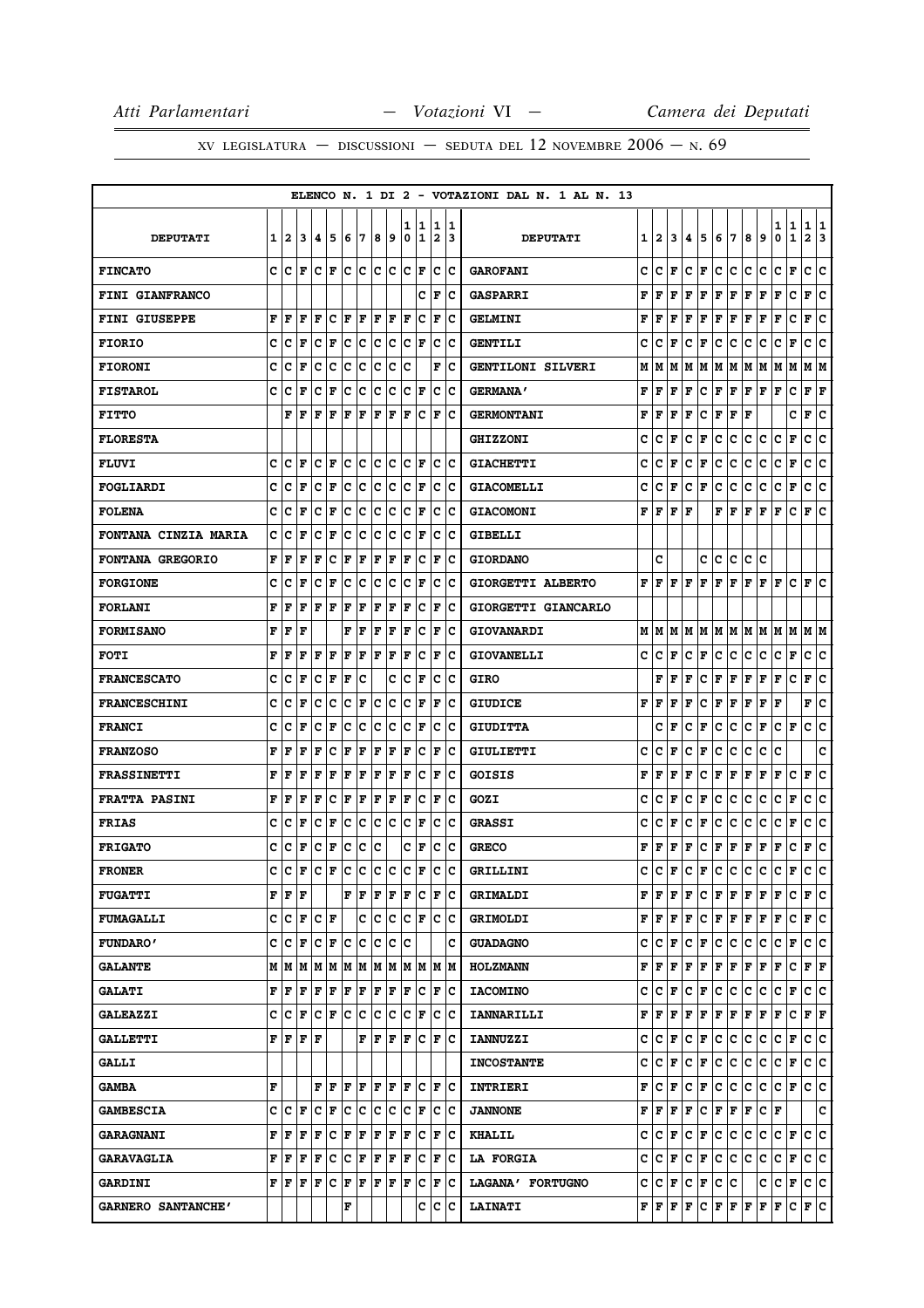XV LEGISLATURA - DISCUSSIONI - SEDUTA DEL 12 NOVEMBRE  $2006 - N.69$ 

|                             |   |              |     |     |             |     |     |     |    |        |                  |                              |        | ELENCO N. 1 DI 2 - VOTAZIONI DAL N. 1 AL N. 13                                                       |                             |                              |                           |
|-----------------------------|---|--------------|-----|-----|-------------|-----|-----|-----|----|--------|------------------|------------------------------|--------|------------------------------------------------------------------------------------------------------|-----------------------------|------------------------------|---------------------------|
| <b>DEPUTATI</b>             | 1 | $\mathbf{2}$ | 3   | 4   | 5           | 6   | 7   | 8   | 9  | 1<br>0 | 1<br>$\mathbf 1$ | 1<br>$\overline{\mathbf{2}}$ | 1<br>3 | 5<br>7<br>9<br><b>DEPUTATI</b><br>1<br>2<br>3<br>4<br>6<br>8                                         | 1<br>1<br>0<br>$\mathbf{1}$ | 1<br>$\overline{\mathbf{2}}$ | 1<br>3                    |
| <b>FINCATO</b>              | c | Iс           | F   | c   | l F         | lc. | c   | c   | Ιc | c      | F                | c                            | Ιc     | c<br>c<br>l F<br>c<br>F<br>c<br>c<br>c<br>c<br><b>GAROFANI</b>                                       | F<br>с                      | c                            | c                         |
| <b>FINI GIANFRANCO</b>      |   |              |     |     |             |     |     |     |    |        | c                | $\mathbf F$                  | c      | F<br>F<br>F<br>F<br>F<br>F<br>F<br>F<br>F<br><b>GASPARRI</b>                                         | F<br>c                      | F                            | c                         |
| <b>FINI GIUSEPPE</b>        | F | F            | F   | F   | C           | F   | l F | F   | F  | F      | C                | F                            | lc     | F<br>$\mathbf{F}$<br>F<br>F<br>F<br>F<br>$\mathbf{F}$<br>F<br>$\mathbf{F}$<br><b>GELMINI</b>         | c<br>F                      | F                            | c                         |
| <b>FIORIO</b>               | c | c            | F   | c   | F           | c   | c   | c   | с  | c      | F                | c                            | Ιc     | c<br>c<br>F<br>с<br>F<br>c<br>с<br>с<br>c<br><b>GENTILI</b>                                          | с<br>F                      | с                            | c                         |
| <b>FIORONI</b>              | c | c            | F   | c   | c           | c   | c   | c   | с  | c      |                  | F                            | c      | М<br>GENTILONI SILVERI<br>М<br>М<br>M<br>М<br>lМ<br>M<br>м<br>M                                      | M<br>M                      | M                            | IМ                        |
| <b>FISTAROL</b>             | c | c            | F   | c   | F           | c   | c   | c   | с  | c      | F                | c                            | Ιc     | F<br>F<br>с<br>F<br>F<br>F<br>F<br><b>GERMANA'</b><br>F<br>F                                         | F<br>c                      | F                            | F                         |
| <b>FITTO</b>                |   | F            | ΙF  | F   | F           | F   | F   | F   | F  | F      | c                | F                            | c      | F<br>F<br>F<br>F<br>F<br>F<br><b>GERMONTANI</b><br>F<br>c                                            | c                           | F                            | с                         |
| <b>FLORESTA</b>             |   |              |     |     |             |     |     |     |    |        |                  |                              |        | c<br>c<br>F<br>с<br>F<br>c<br>с<br>с<br>с<br><b>GHIZZONI</b>                                         | с<br>F                      | с                            | c                         |
| <b>FLUVI</b>                | C | C            | l F | c   | F           | c   | c   | c   | с  | c      | F                | c                            | Ιc     | c<br>F<br>c<br>c<br>с<br>c<br>c<br>F<br>c<br><b>GIACHETTI</b>                                        | с<br>F                      | c                            | c                         |
| <b>FOGLIARDI</b>            | C | c            | F   | c   | F           | c   | c   | c   | с  | c      | F                | c                            | Ιc     | c<br>c<br>c<br>F<br>c<br>F<br>с<br>с<br>с<br><b>GIACOMELLI</b>                                       | с<br>F                      | c                            | c                         |
| <b>FOLENA</b>               | c | c            | F   | c   | F           | c   | c   | c   | с  | c      | F                | c                            | Ιc     | F<br>F<br>F<br>F<br>F<br>F<br>F<br>F<br><b>GIACOMONI</b>                                             | c<br>F                      | F                            | ١c                        |
| <b>FONTANA CINZIA MARIA</b> | c | c            | F   | c   | F           | c   | c   | c   | c  | c      | F                | c                            | c      | <b>GIBELLI</b>                                                                                       |                             |                              |                           |
| <b>FONTANA GREGORIO</b>     | F | F            | F   | F   | c           | F   | F   | F   | F  | l F    | с                | F                            | Ιc     | c<br>c<br>c<br>c<br>c<br>с<br><b>GIORDANO</b>                                                        |                             |                              |                           |
| <b>FORGIONE</b>             | c | c            | F   | c   | F           | c   | c   | c   | c  | c      | F                | c                            | c      | F<br>l F<br>F<br>F<br>F<br>F<br>F<br>F<br>F<br>GIORGETTI ALBERTO                                     | F<br>с                      | F                            | Iс                        |
| <b>FORLANI</b>              | F | F            | F   | F   | F           | F   | F   | F   | F  | F      | c                | $\mathbf F$                  | Ιc     | GIORGETTI GIANCARLO                                                                                  |                             |                              |                           |
| <b>FORMISANO</b>            | F | F            | F   |     |             | F   | F   | F   | F  | l F    | c                | $\mathbf F$                  | c      | М<br>M<br>M<br>M<br>lм<br>M<br>lм<br><b>GIOVANARDI</b><br>M<br>M                                     | M<br>lМ                     |                              | МM                        |
| <b>FOTI</b>                 | F | F            | F   | F   | F           | F   | F   | F   | ΙF | F      | c                | F                            | Ιc     | c<br>c<br>F<br>c<br>F<br>c<br>с<br>с<br>c<br><b>GIOVANELLI</b>                                       | с<br>F                      | c                            | ١c                        |
| <b>FRANCESCATO</b>          | c | c            | F   | c   | $\mathbf F$ | F   | c   |     | C  | c      | F                | c                            | Ιc     | F<br>с<br>F<br>F<br>F<br><b>GIRO</b><br>F<br>F<br>F                                                  | c<br>F                      | F                            | lc.                       |
| <b>FRANCESCHINI</b>         | c | c            | F   | c   | c           | c   | F   | c   | с  | c      | F                | F                            | c      | F<br>F<br>F<br>F<br>с<br>F<br>F<br>F<br>F<br><b>GIUDICE</b>                                          | F                           | F                            | c                         |
| <b>FRANCI</b>               | c | c            | ΙF  | c   | F           | c   | c   | c   | с  | c      | F                | c                            | Ιc     | F<br>с<br>F<br>c<br>с<br>с<br>F<br><b>GIUDITTA</b><br>c                                              | $ C $ $\mathbf{F}$          | c                            | ١c                        |
| <b>FRANZOSO</b>             | F | F            | F   | F   | c           | F   | F   | F   | F  | F      | c                | $\mathbf F$                  | Iс     | c<br>c<br>F<br>c<br>F<br>c<br>с<br>c<br>c<br>GIULIETTI                                               | c                           |                              | c                         |
| <b>FRASSINETTI</b>          | F | F            | F   | F   | F           | F   | F   | F   | F  | F      | c                | $\mathbf F$                  | lc     | F<br>F<br>с<br>F<br>F<br>F<br>F<br>F<br>$\mathbf{F}$<br>GOISIS                                       | c<br>F                      | F                            | c                         |
| <b>FRATTA PASINI</b>        | F | F            | F   | F   | C           | F   | F   | F   | F  | l F    | c                | F                            | c      | C<br>c<br>F<br>c<br>F<br>c<br>с<br>с<br>c<br>GOZI                                                    | c<br>$\mathbf{F}$           | c                            | c                         |
| <b>FRIAS</b>                | c | c            | F   | c   | F           | c   | c   | c   | с  | c      | F                | c                            | c      | c<br>c<br>F<br>c<br>F<br>c<br>с<br>с<br>c<br><b>GRASSI</b>                                           | с<br>F                      | с                            | ١c                        |
| <b>FRIGATO</b>              | c | c            | F   | c   | F           | c   | ∣c  | c   |    | c      | F                | c                            | Ιc     | F<br>F<br>с<br>F<br>F<br>F<br>F<br>F<br>F<br><b>GRECO</b>                                            | c<br>F                      | F                            | c                         |
| <b>FRONER</b>               | c | Iс           | l F | Iс  | F           | lc. | c   | c   | с  | lc     | F                | c                            | c      | C<br>c<br>F<br>c<br>F<br>c<br>c<br>c<br>c<br>GRILLINI                                                | c<br>F                      | c                            | lc.                       |
| <b>FUGATTI</b>              | F | F            | F   |     |             | F   | F   | F   | F  | F      | c                | F                            | Iс     | F<br>F<br>F<br>c<br>F<br>F<br>F<br>F<br><b>GRIMALDI</b><br>F                                         | с<br>F                      |                              | F C                       |
| <b>FUMAGALLI</b>            | c | c            | F   | Iс  | ΙF          |     | c   | c   | с  | c      | F                | lc.                          | Ιc     | F<br>F<br>l F<br>c<br> F F <br>F<br>F<br>l F<br><b>GRIMOLDI</b>                                      | F<br>с                      | F C                          |                           |
| <b>FUNDARO'</b>             | C | c            | F   | c   | F           | c   | ∣c  | c   | c  | c      |                  |                              | c      | c<br>c<br>F<br>c<br>F<br>c<br>c<br>c<br>c<br><b>GUADAGNO</b>                                         | F<br>c                      |                              | c  c                      |
| <b>GALANTE</b>              | м | lМ           | M   | M   | M           |     | M M | MM  |    |        | M M              |                              | M M    | F<br>F<br>$\mathbf F$<br>F<br>$\mathbf F$<br>F<br>F<br>F<br>F<br><b>HOLZMANN</b>                     | c<br>F                      |                              | ${\bf F} \,   \, {\bf F}$ |
| <b>GALATI</b>               | F | F            | F   | F   | F           | F   | F   | F   | F  | F      | Iс               | F                            | Ιc     | c<br>c<br>l F<br>c<br>F<br> c<br>lc.<br> c<br>c<br><b>IACOMINO</b>                                   | c<br>F                      |                              | c c                       |
| <b>GALEAZZI</b>             | c | c            | F   | c   | ΙF          | c   | c   | c   | c  | c      | F                | c                            | Ιc     | F<br>$ {\bf F}  {\bf F} $<br>F<br>F<br> F F<br>F<br>F<br><b>IANNARILLI</b>                           | c<br>F                      |                              | F F                       |
| <b>GALLETTI</b>             | F | l F          | l F | lF. |             |     | F   | F   | F  | ΙF     | c                | l F                          | lc     | c<br> c<br> c<br>с<br>F<br>с<br>F<br>c<br>c<br><b>IANNUZZI</b>                                       | c<br>F                      |                              | c c                       |
| <b>GALLI</b>                |   |              |     |     |             |     |     |     |    |        |                  |                              |        | c<br>c<br>C F<br>F<br>c<br> c<br>c<br>c<br><b>INCOSTANTE</b>                                         | C F                         |                              | c c                       |
| <b>GAMBA</b>                | F |              |     | F   | l F         | F   | l F | F   | F  | ΙF     | c                | $\mathbf F$                  | Ιc     | F<br>c<br>F<br>c<br>F<br>c<br>c<br>c<br>c<br>INTRIERI                                                | F<br>c                      | c                            | c                         |
| <b>GAMBESCIA</b>            | C | с            | l F | c   | F           | lc. | lc. | lc. | lc | c      | F                | c                            | lc     | F<br>$\mathbf{F}$<br>F<br>F<br>c<br> F F<br>F<br>$ {\bf C}\>  {\bf F} $<br><b>JANNONE</b>            |                             |                              | lc.                       |
| <b>GARAGNANI</b>            | F | F            | F   | F   | c           | F   | F   | F   | F  | F      | c                | F                            | Ιc     | c<br>F<br>lc.<br>с<br>с<br>F<br>с<br>C<br>c<br><b>KHALIL</b>                                         | CF                          |                              | c c                       |
| <b>GARAVAGLIA</b>           | F | F            | F   | F   | c           | lc. | F   | F   | F  | l F    | c                | F                            | Ιc     | c<br>C F<br>c<br>F<br>c<br>lc.<br>c<br> c<br><b>LA FORGIA</b>                                        | c<br>F                      |                              | c c                       |
| <b>GARDINI</b>              | F | F            | l F | F   | Iс          | F   | F   | F   | F  | F      | c                | F                            | ١c     | c<br>$ {\bf C}  {\bf F} $<br>$ {\tt C} \,  $ F<br> c c<br>c<br>LAGANA' FORTUGNO                      | lc.<br>F                    |                              | c c                       |
| GARNERO SANTANCHE'          |   |              |     |     |             | F   |     |     |    |        | c                | c                            | Iс     | $ {\bf F}  {\bf F}  {\bf F}  {\bf F}$<br>${\bf F}$ $\bf  F$ $\bf  F$ $\bf  F$<br>с<br><b>LAINATI</b> | F<br>С                      |                              | F C                       |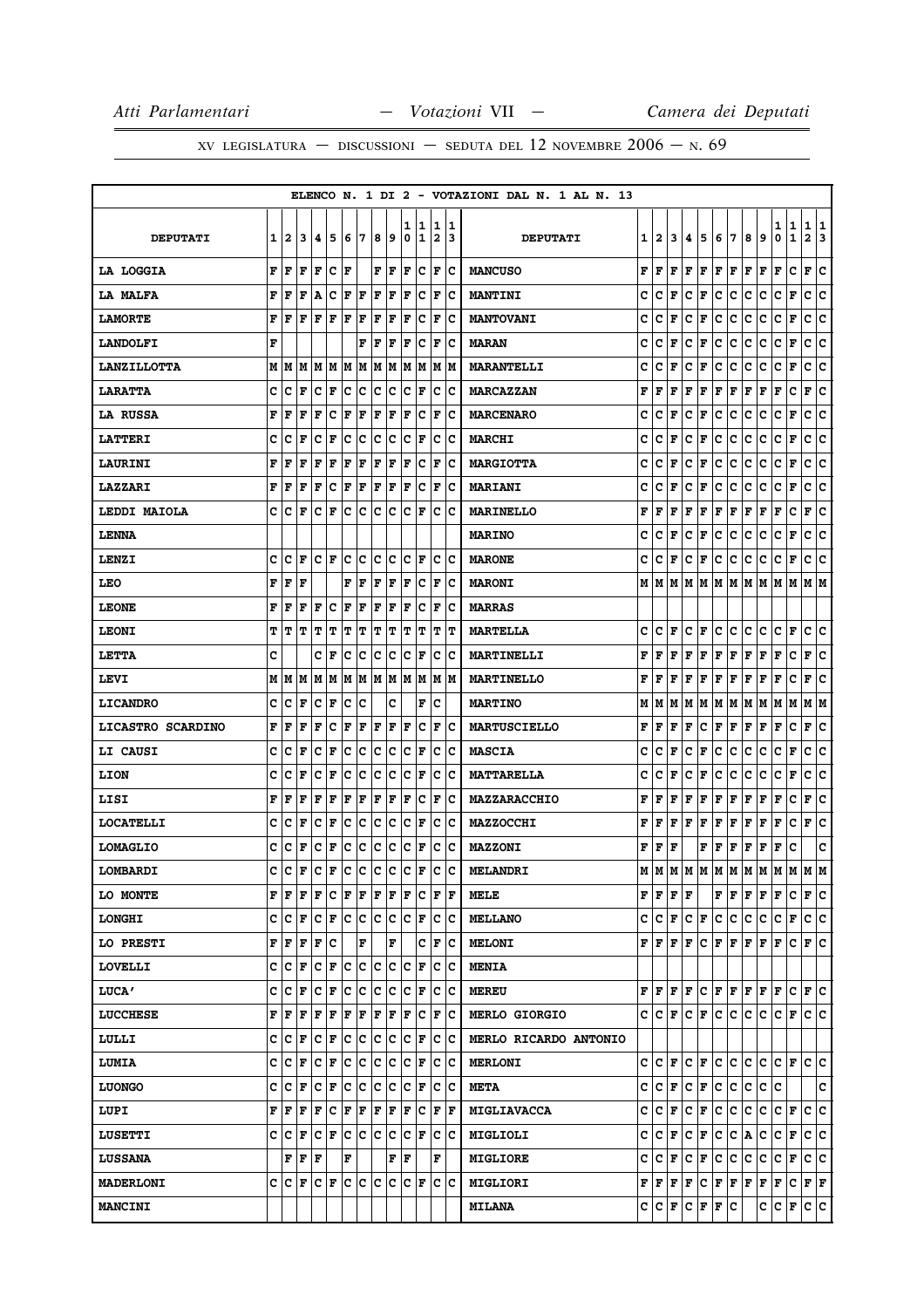## XV LEGISLATURA - DISCUSSIONI - SEDUTA DEL 12 NOVEMBRE  $2006 - N.69$

|                    |   |         |                             |                      |         |     |    |      |     |     |                      |                         |                    | ELENCO N. 1 DI 2 - VOTAZIONI DAL N. 1 AL N. 13 |   |                         |     |                      |             |                          |                                                                                                                                   |                              |     |                      |                |              |     |
|--------------------|---|---------|-----------------------------|----------------------|---------|-----|----|------|-----|-----|----------------------|-------------------------|--------------------|------------------------------------------------|---|-------------------------|-----|----------------------|-------------|--------------------------|-----------------------------------------------------------------------------------------------------------------------------------|------------------------------|-----|----------------------|----------------|--------------|-----|
|                    |   |         |                             |                      |         |     |    |      |     | 1   | 1                    | 1                       | 11                 |                                                |   |                         |     |                      |             |                          |                                                                                                                                   |                              |     | 1                    | 1              | 1            | 1   |
| <b>DEPUTATI</b>    | 1 | 2       | 13                          | 14.                  | 15      | 6   | 17 | 8    | و ا | 0   | 1                    | $\overline{\mathbf{2}}$ | 13                 | <b>DEPUTATI</b>                                |   | 1   2                   | 3   | 4                    | 5           | 6                        | 17                                                                                                                                | 8                            | 9   | 0                    | $\mathbf{1}$   | $\mathbf{2}$ | 13  |
| LA LOGGIA          | F | l F     | l F                         | lF.                  | Ιc      | F   |    |      | FF  | l F | lc                   | l F                     | ١c                 | <b>MANCUSO</b>                                 | F | F                       | F   | F                    | F           | F                        | F                                                                                                                                 | F                            | l F | F                    | c              | $\mathbf{F}$ | lc. |
| LA MALFA           | F | l F     | l F                         | A                    | Ιc      | F   | F  | l F  | lF. | lF. | Iс                   | F                       | Ιc                 | <b>MANTINI</b>                                 | c | c                       | F   | c                    | F           | c                        | c                                                                                                                                 | c                            | c   | c                    | F              | c            | lc. |
| <b>LAMORTE</b>     | F | ١F      | F                           | F                    | l F     | F   | F  | ΙF   | F   | ΙF  | c                    | F                       | Ιc                 | <b>MANTOVANI</b>                               | c | c                       | F   | c                    | F           | c                        | c                                                                                                                                 | c                            | c   | c                    | F              | с            | c   |
| <b>LANDOLFI</b>    | F |         |                             |                      |         |     | F  | F    | F   | F   | Iс                   | F                       | Ιc                 | <b>MARAN</b>                                   | c | c                       | F   | c                    | F           | c                        | c                                                                                                                                 | c                            | c   | c                    | F              | c            | c   |
| <b>LANZILLOTTA</b> | М | M       | M                           | M                    | M       | M   | M  | M    | M   | M   | M                    | M                       | M                  | <b>MARANTELLI</b>                              | c | c                       | F   | c                    | F           | c                        | с                                                                                                                                 | c                            | c   | c                    | $\mathbf F$    | c            | c   |
| <b>LARATTA</b>     | c | c       | F                           | Iс                   | F       | Ιc  | ١c | Ιc   | Iс  | c   | F                    | c                       | Ιc                 | <b>MARCAZZAN</b>                               | F | F                       | F   | F                    | F           | $\mathbf F$              | F                                                                                                                                 | F                            | F   | F                    | $\mathbf C$    | F            | c   |
| LA RUSSA           | F | F       | F                           | F                    | Iс      | F   | F  | F    | F   | F   | Iс                   | F                       | Ιc                 | <b>MARCENARO</b>                               | c | с                       | F   | c                    | F           | c                        | c                                                                                                                                 | с                            | с   | с                    | F              | c            | ١c  |
| <b>LATTERI</b>     | C | Iс      | l F                         | Iс                   | ΙF      | Ιc  | Iс | Ιc   | Iс  | lc. | F                    | c                       | ١c                 | <b>MARCHI</b>                                  | c | c                       | F   | c                    | F           | c                        | c                                                                                                                                 | c                            | c   | c                    | F              | c            | ١c  |
| <b>LAURINI</b>     | F | F       | ΙF                          | F                    | F       | F   | F  | F    | F   | F   | Ιc                   | F                       | Ιc                 | <b>MARGIOTTA</b>                               | c | с                       | F   | c                    | F           | с                        | c                                                                                                                                 | с                            | c   | с                    | F              | c            | lc. |
| <b>LAZZARI</b>     | F | F       | F                           | F                    | c       | F   | F  | ΙF   | F   | ΙF  | c                    | F                       | Iс                 | <b>MARIANI</b>                                 | c | с                       | F   | c                    | F           | c                        | с                                                                                                                                 | с                            | c   | c                    | F              | с            | c   |
| LEDDI MAIOLA       | C | Iс      | F                           | lc                   | ΙF      | Ιc  | c  | Ιc   | c   | lc. | F                    | c                       | Ιc                 | <b>MARINELLO</b>                               | F | F                       | F   | F                    | F           | F                        | F                                                                                                                                 | F                            | F   | F                    | c              | F            | c   |
| <b>LENNA</b>       |   |         |                             |                      |         |     |    |      |     |     |                      |                         |                    | <b>MARINO</b>                                  | c | c                       | F   | c                    | F           | c                        | с                                                                                                                                 | c                            | c   | c                    | F              | c            | c   |
| LENZI              | c | c       | l F                         | lc.                  | ١F      | lc. | ١c | c    | lc  | c   | F                    | c                       | lc                 | <b>MARONE</b>                                  | c | c                       | F   | c                    | F           | c                        | c                                                                                                                                 | c                            | c   | c                    | $\mathbf F$    | c            | c   |
| <b>LEO</b>         | F | F       | l F                         |                      |         | F   | F  | F    | F   | F   | Iс                   | F                       | Ιc                 | <b>MARONI</b>                                  | М | M                       | M   |                      |             | MMMMM                    |                                                                                                                                   | M M                          |     | M M                  |                | M  M         |     |
| <b>LEONE</b>       | F | F       | F                           | F                    | c       | F   | F  | F    | F   | F   | c                    | F                       | Ιc                 | <b>MARRAS</b>                                  |   |                         |     |                      |             |                          |                                                                                                                                   |                              |     |                      |                |              |     |
| <b>LEONI</b>       | т | IΤ      | IΤ                          | T                    | IΤ      | т   | т  | т    | IΤ  | т   | IΤ                   | т                       | IТ                 | <b>MARTELLA</b>                                | c | c                       | F   | c                    | F           | c                        | lc.                                                                                                                               | c                            | c   | c                    | F              | c            | Iс  |
| LETTA              | C |         |                             | c                    | F       | c   | c  | c    | с   | c   | F                    | c                       | Iс                 | MARTINELLI                                     | F | F                       | F   | F                    | F           | F                        | F                                                                                                                                 | F                            | F   | F                    | с              | F            | Ιc  |
| LEVI               |   | MM      | M                           | M                    | M       | M   | M  | M M  |     | lм  | M                    | М                       | lМ                 | <b>MARTINELLO</b>                              | F | l F                     | F   | F                    | F           | F                        | F                                                                                                                                 | F                            | F   | F                    | c              | F            | ١c  |
| <b>LICANDRO</b>    | C | lc      | l F                         | lc                   | F       | lc. | c  |      | c   |     | F                    | c                       |                    | <b>MARTINO</b>                                 | М | M                       | M   | м                    | M           | M                        | M                                                                                                                                 | M                            | M   | M                    | M              | M  M         |     |
| LICASTRO SCARDINO  | F | l F     | l F                         | F                    | Iс      | F   | F  | ΙF   | F   | ΙF  | Ιc                   | F                       | Ιc                 | <b>MARTUSCIELLO</b>                            | F | F                       | F   | F                    | с           | $\mathbf F$              | F                                                                                                                                 | F                            | F   | F                    | c              | F            | Ιc  |
| LI CAUSI           | c | Iс      | l F                         | с                    | ΙF      | c   | Iс | c    | с   | c   | F                    | с                       | Ιc                 | <b>MASCIA</b>                                  | c | с                       | F   | c                    | F           | c                        | c                                                                                                                                 | c                            | c   | c                    | F              | c            | lc. |
| LION               | c | c       | F                           | c                    | l F     | c   | c  | c    | с   | c   | ΙF                   | с                       | Iс                 | <b>MATTARELLA</b>                              | c | c                       | F   | c                    | F           | c                        | c                                                                                                                                 | c                            | c   | с                    | $\mathbf F$    | с            | c   |
| LISI               | F | l F     | F                           | F                    | F       | F   | F  | F    | F   | F   | Iс                   | F                       | Ιc                 | MAZZARACCHIO                                   | F | F                       | F   | F                    | F           | F                        | F                                                                                                                                 | F                            | F   | F                    | c              | F            | lc. |
| <b>LOCATELLI</b>   | c | c       | F                           | c                    | F       | c   | с  | c    | c   | c   | F                    | с                       | Iс                 | <b>MAZZOCCHI</b>                               | F | F                       | F   | F                    | F           | F                        | F                                                                                                                                 | F                            | F   | F                    | с              | F            | ∣c  |
| <b>LOMAGLIO</b>    | c | c       | F                           | c                    | F       | c   | c  | c    | c   | c   | F                    | c                       | Ιc                 | <b>MAZZONI</b>                                 | F | F                       | F   |                      | F           | F                        | F                                                                                                                                 | F                            | F   | F                    | c              |              | C   |
| LOMBARDI           | C | c       | F                           | c                    | F C     |     | c. | c    | lc. | c   | F                    | c                       | lc.                | <b>MELANDRI</b>                                | М | lм                      |     | MM                   |             |                          | м м м м м                                                                                                                         |                              |     | M                    | MM             |              | lм  |
| <b>LO MONTE</b>    |   | FIF     | ١F                          | F                    | C  F  F |     |    | F  F |     | F   | ΙC                   | F                       | ١F                 | <b>MELE</b>                                    |   | FF                      | F F |                      |             | $\mathbf{F} \mathbf{F} $ |                                                                                                                                   | F F                          |     | F                    | С              | F C          |     |
| <b>LONGHI</b>      |   |         | C C F C F C C C C           |                      |         |     |    |      |     |     | C F                  | c c                     |                    | <b>MELLANO</b>                                 |   |                         |     |                      |             |                          | C C F C F C C C C                                                                                                                 |                              |     | $ {\bf C}  {\bf F} $ |                | c c          |     |
| LO PRESTI          |   | F F     | F                           | F                    | Iс      |     | F  |      | F   |     | c                    | F                       | ΙC                 | <b>MELONI</b>                                  |   | FFFFF                   |     |                      |             |                          | $ {\bf C}\, $ ${\bf F}\, $ ${\bf F}\, $ ${\bf F}\, $ ${\bf F}\, $ ${\bf F}\,$                                                     |                              |     |                      | IС             | F C          |     |
| <b>LOVELLI</b>     | c |         | $ {\bf C}  {\bf F} $        |                      | C F C C |     |    | c c  |     |     | C  F                 | c                       | ∣c                 | <b>MENIA</b>                                   |   |                         |     |                      |             |                          |                                                                                                                                   |                              |     |                      |                |              |     |
| <b>LUCA'</b>       | c | c       | F                           | Iс                   | F       | Iс  | c  | c    | c   | c   | F                    | c                       | Ιc                 | <b>MEREU</b>                                   |   | $F$ $F$ $F$ $F$ $\cdot$ |     |                      |             |                          | C   F   F   F   F                                                                                                                 |                              |     |                      | lc.            | F C          |     |
| <b>LUCCHESE</b>    | F | ١F      | F                           | F                    | F       | F   | F  | F    | F   | F   | Iс                   |                         | $ {\bf F} {\bf C}$ | <b>MERLO GIORGIO</b>                           |   |                         |     |                      |             |                          | C C F C F C C C C                                                                                                                 |                              |     |                      | $ C $ F $ C C$ |              |     |
| LULLI              |   | C C F   |                             | C  F                 |         | c   | c  | c c  |     | IC. | F                    | lc.                     | ∣c                 | MERLO RICARDO ANTONIO                          |   |                         |     |                      |             |                          |                                                                                                                                   |                              |     |                      |                |              |     |
| LUMIA              |   | C  C  F |                             | $ {\bf C}  {\bf F} $ |         | c c |    | Ιc   | ΙC  |     | $ {\bf C}  {\bf F} $ | IC.                     | ΙC                 | <b>MERLONI</b>                                 |   | C C F                   |     | $ {\bf C}  {\bf F} $ |             | c c                      |                                                                                                                                   | $ {\bf C} \;   {\bf C} \;  $ |     |                      | $ C $ F $ C C$ |              |     |
| <b>LUONGO</b>      |   | C C F   |                             | C  F                 |         | C C |    | c c  |     |     | C  F                 | IС                      | ΙC                 | <b>META</b>                                    |   |                         |     |                      | C C F C F C |                          | c                                                                                                                                 | c.                           | c c |                      |                |              | c   |
| LUPI               |   | F F     | F                           | F                    | C F F   |     |    | F F  |     | F   | ΙC                   | F                       | F                  | <b>MIGLIAVACCA</b>                             | c | $ {\bf C}  {\bf F} $    |     | c                    | F           | c                        | IC.                                                                                                                               | c                            | IC. | $ {\bf C}  {\bf F} $ |                | c c          |     |
| <b>LUSETTI</b>     |   |         | C C F C F C C C C           |                      |         |     |    |      |     |     | C  F                 |                         | c c                | <b>MIGLIOLI</b>                                | c | $ C $ F                 |     |                      | C F         | c                        | c.                                                                                                                                | A                            | c   | C F                  |                | c c          |     |
| <b>LUSSANA</b>     |   |         | ${\bf F}$ $\bf{F}$ $\bf{F}$ |                      |         | F   |    |      | F   | ١F  |                      | F                       |                    | <b>MIGLIORE</b>                                | c | $ {\tt C} \,  $ F $\,$  |     | с                    | F           | c                        | c                                                                                                                                 | c                            | c   | C                    | F              | c c          |     |
| <b>MADERLONI</b>   |   | C C F   |                             | $ {\bf C}  {\bf F} $ |         | lc. | ∣c | lc   | Ιc  | c   | F                    |                         | c c                | <b>MIGLIORI</b>                                |   |                         |     |                      |             |                          | ${\bf F}   {\bf F}   {\bf F}   {\bf F}   {\bf C}   {\bf F}   {\bf F}   {\bf F}   {\bf F}   {\bf F}   {\bf C}   {\bf F}   {\bf F}$ |                              |     |                      |                |              |     |
| <b>MANCINI</b>     |   |         |                             |                      |         |     |    |      |     |     |                      |                         |                    | <b>MILANA</b>                                  |   | C C F                   |     |                      |             | C F F C                  |                                                                                                                                   |                              | с   | c.                   | F              | c c          |     |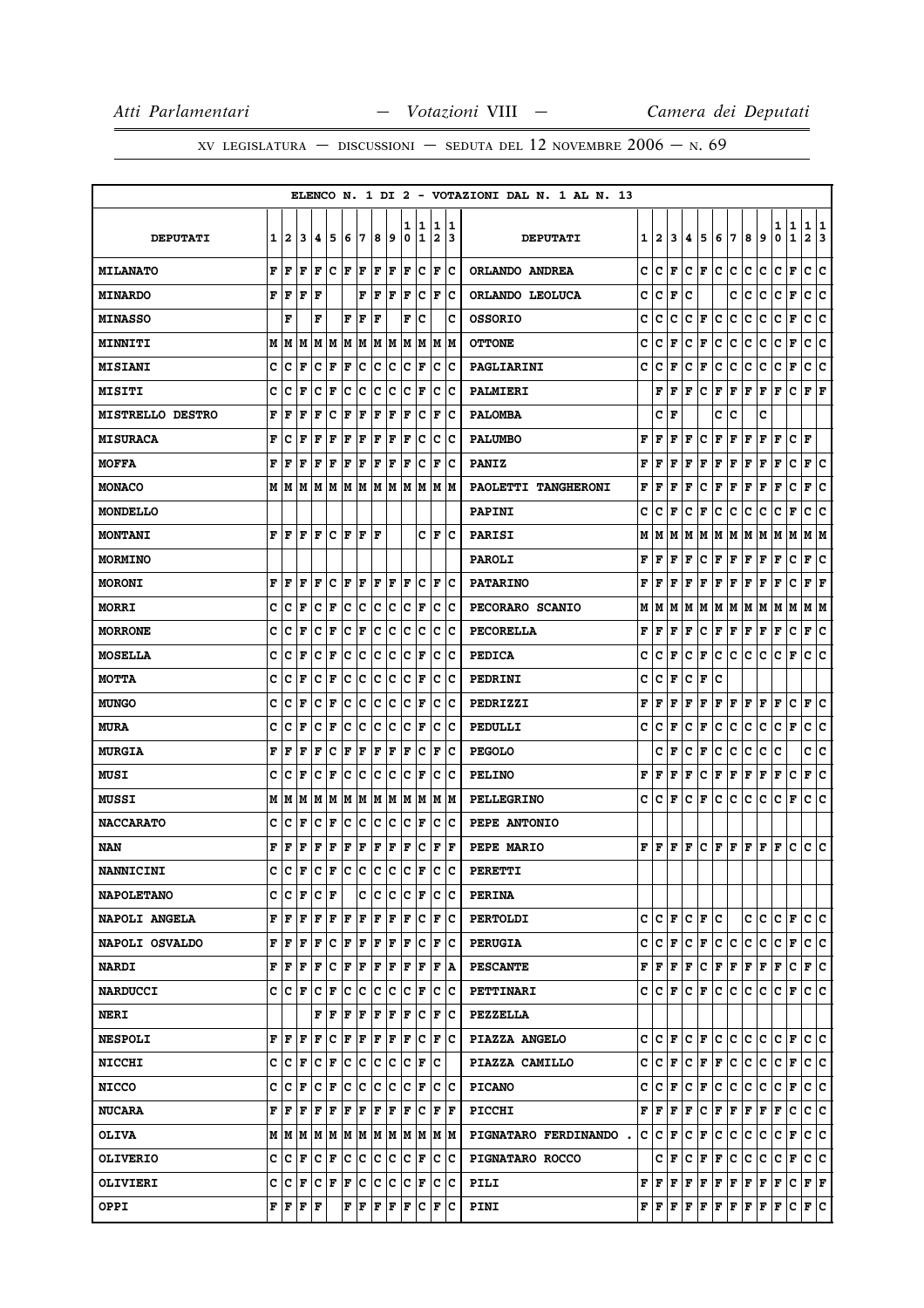|                         |   |              |           |                      |                        |     |     |     |     |        |                  |                              |        | ELENCO N. 1 DI 2 - VOTAZIONI DAL N. 1 AL N. 13 |   |                    |                          |     |     |                                                                                                                                                                                                                                                                                                                                                                                                                                                                                            |                          |     |                                                                                                                         |                      |                   |                      |        |
|-------------------------|---|--------------|-----------|----------------------|------------------------|-----|-----|-----|-----|--------|------------------|------------------------------|--------|------------------------------------------------|---|--------------------|--------------------------|-----|-----|--------------------------------------------------------------------------------------------------------------------------------------------------------------------------------------------------------------------------------------------------------------------------------------------------------------------------------------------------------------------------------------------------------------------------------------------------------------------------------------------|--------------------------|-----|-------------------------------------------------------------------------------------------------------------------------|----------------------|-------------------|----------------------|--------|
| <b>DEPUTATI</b>         | 1 | $\mathbf{2}$ | 3         | 4                    | 5                      | 6   | 7   | 8   | 9   | 1<br>0 | 1<br>$\mathbf 1$ | 1<br>$\overline{\mathbf{2}}$ | 1<br>3 | <b>DEPUTATI</b>                                | 1 | $\mathbf{2}$       | 3                        | 4   | 5   | 6                                                                                                                                                                                                                                                                                                                                                                                                                                                                                          | 17                       | 8   | 9                                                                                                                       | 1<br>0               | 1<br>$\mathbf{1}$ | 1<br>$\mathbf{2}$    | 1<br>3 |
| <b>MILANATO</b>         | F | F            | F         | F                    | c                      | F   | F   | F   | F   | F      | c                | F                            | Ιc     | ORLANDO ANDREA                                 | c | c                  | F                        | с   | F   | c                                                                                                                                                                                                                                                                                                                                                                                                                                                                                          | c                        | с   | c                                                                                                                       | с                    | F                 | c                    | c      |
| <b>MINARDO</b>          | F | F            | F         | F                    |                        |     | F   | F   | F   | F      | c                | $\mathbf F$                  | c      | ORLANDO LEOLUCA                                | c | c                  | F                        | c   |     |                                                                                                                                                                                                                                                                                                                                                                                                                                                                                            | c                        | c   | c                                                                                                                       | c                    | $\mathbf F$       | c                    | c      |
| <b>MINASSO</b>          |   | F            |           | F                    |                        | F   | l F | F   |     | F      | c                |                              | c      | <b>OSSORIO</b>                                 | c | c                  | c                        | c   | F   | c                                                                                                                                                                                                                                                                                                                                                                                                                                                                                          | c                        | c   | c                                                                                                                       | с                    | $\mathbf F$       | c                    | C      |
| <b>MINNITI</b>          | M | M            | M         | M                    | M                      | lМ  | M   | M   | M   | M      | M                | M                            | M      | <b>OTTONE</b>                                  | c | c                  | F                        | с   | F   | c                                                                                                                                                                                                                                                                                                                                                                                                                                                                                          | с                        | с   | c                                                                                                                       | с                    | F                 | с                    | c      |
| <b>MISIANI</b>          | c | c            | F         | c                    | F                      | ΙF  | c   | c   | c   | c      | F                | c                            | c      | PAGLIARINI                                     | c | c                  | F                        | c   | F   | c                                                                                                                                                                                                                                                                                                                                                                                                                                                                                          | c                        | с   | c                                                                                                                       | c                    | F                 | c                    | c      |
| <b>MISITI</b>           | c | c            | ΙF        | c                    | F                      | c   | c   | c   | с   | c      | F                | c                            | Ιc     | PALMIERI                                       |   | F                  | $\vert \mathbf{F} \vert$ | F   | c   | F                                                                                                                                                                                                                                                                                                                                                                                                                                                                                          | F                        | F   | F                                                                                                                       | F                    | c                 | $ {\bf F}  {\bf F} $ |        |
| <b>MISTRELLO DESTRO</b> | F | F            | F         | F                    | c                      | F   | F   | F   | F   | F      | c                | F                            | c      | <b>PALOMBA</b>                                 |   | c                  | F                        |     |     | c                                                                                                                                                                                                                                                                                                                                                                                                                                                                                          | c                        |     | c                                                                                                                       |                      |                   |                      |        |
| <b>MISURACA</b>         | F | c            | F         | F                    | F                      | F   | F   | F   | F   | F      | c                | c                            | c      | <b>PALUMBO</b>                                 | F | F                  | F                        | F   | c   | F                                                                                                                                                                                                                                                                                                                                                                                                                                                                                          | F                        | F   | F                                                                                                                       | F                    | c                 | F                    |        |
| <b>MOFFA</b>            | F | F            | ΙF        | F                    | $\mathbf F$            | F   | F   | F   | F   | F      | c                | F                            | c      | <b>PANIZ</b>                                   | F | F                  | F                        | F   | F   | F                                                                                                                                                                                                                                                                                                                                                                                                                                                                                          | F                        | F   | F                                                                                                                       | F                    | c                 | F                    | Ιc     |
| <b>MONACO</b>           | м | M            | M         | M                    | M                      | lМ  | M   | M   | M   | M      | M                | M                            | M      | PAOLETTI TANGHERONI                            | F | F                  | F                        | F   | c   | F                                                                                                                                                                                                                                                                                                                                                                                                                                                                                          | F                        | F   | F                                                                                                                       | F                    | C                 | F                    | c      |
| <b>MONDELLO</b>         |   |              |           |                      |                        |     |     |     |     |        |                  |                              |        | <b>PAPINI</b>                                  | c | c                  | F                        | с   | F   | c                                                                                                                                                                                                                                                                                                                                                                                                                                                                                          | c                        | с   | с                                                                                                                       | с                    | F                 | с                    | c      |
| <b>MONTANI</b>          | F | F            | F         | F                    | c                      | F   | F   | F   |     |        | c                | F                            | c      | <b>PARISI</b>                                  | М | М                  | M                        | м   | lМ  | М                                                                                                                                                                                                                                                                                                                                                                                                                                                                                          | M                        | м   | M                                                                                                                       | M                    | lМ                | M                    | IМ     |
| <b>MORMINO</b>          |   |              |           |                      |                        |     |     |     |     |        |                  |                              |        | <b>PAROLI</b>                                  | F | F                  | F                        | F   | с   | F                                                                                                                                                                                                                                                                                                                                                                                                                                                                                          | F                        | F   | $\mathbf{F}$                                                                                                            | F                    | c                 | F                    | lc.    |
| <b>MORONI</b>           | F | F            | F         | F                    | c                      | F   | l F | F   | F   | ΙF     | c                | F                            | Iс     | <b>PATARINO</b>                                | F | F                  | F                        | F   | F   | F                                                                                                                                                                                                                                                                                                                                                                                                                                                                                          | F                        | F   | F                                                                                                                       | F                    | c                 | F                    | F      |
| <b>MORRI</b>            | c | c            | F         | c                    | $\mathbf F$            | c   | ∣c  | c   | c   | c      | F                | c                            | Ιc     | PECORARO SCANIO                                | М | М                  | M                        | м   | M   | м                                                                                                                                                                                                                                                                                                                                                                                                                                                                                          | M                        | M   | M                                                                                                                       | M                    | M                 | M   M                |        |
| <b>MORRONE</b>          | C | c            | F         | C                    | $\mathbf F$            | C   | F   | C   | c   | C      | c                | c                            | c      | PECORELLA                                      | F | F                  | F                        | F   | с   | F                                                                                                                                                                                                                                                                                                                                                                                                                                                                                          | F                        | Г   | F                                                                                                                       | F                    | c                 | F                    | lc.    |
| <b>MOSELLA</b>          | C | c            | F         | c                    | F                      | c   | c   | c   | с   | c      | F                | c                            | c      | <b>PEDICA</b>                                  | c | c                  | F                        | c   | F   | c                                                                                                                                                                                                                                                                                                                                                                                                                                                                                          | с                        | c   | c                                                                                                                       | c                    | F                 | с                    | ١c     |
| <b>MOTTA</b>            | c | c            | F         | c                    | F                      | c   | c   | c   | с   | c      | F                | c                            | Ιc     | PEDRINI                                        | c | c                  | F                        | c   | F   | c                                                                                                                                                                                                                                                                                                                                                                                                                                                                                          |                          |     |                                                                                                                         |                      |                   |                      |        |
| <b>MUNGO</b>            | c | c            | F         | c                    | F                      | c   | c   | c   | с   | c      | F                | c                            | c      | PEDRIZZI                                       | F | F                  | F                        | F   | F   | F                                                                                                                                                                                                                                                                                                                                                                                                                                                                                          | F                        | F   | F                                                                                                                       | F                    | c                 | F                    | c      |
| <b>MURA</b>             | c | c            | ΙF        | c                    | F                      | c   | c   | c   | с   | c      | F                | c                            | Iс     | PEDULLI                                        | c | с                  | F                        | с   | F   | c                                                                                                                                                                                                                                                                                                                                                                                                                                                                                          | с                        | с   | с                                                                                                                       | c                    | F                 | c                    | c      |
| <b>MURGIA</b>           | F | F            | F         | F                    | c                      | F   | F   | F   | F   | F      | c                | F                            | c      | <b>PEGOLO</b>                                  |   | c                  | F                        | c   | г   | c                                                                                                                                                                                                                                                                                                                                                                                                                                                                                          | с                        | c   | c                                                                                                                       | c                    |                   | c                    | с      |
| MUSI                    | c | c            | F         | c                    | $\mathbf F$            | c   | ∣c  | c   | c   | c      | F                | c                            | c      | <b>PELINO</b>                                  | F | F                  | F                        | F   | с   | F                                                                                                                                                                                                                                                                                                                                                                                                                                                                                          | F                        | Г   | $\mathbf{F}$                                                                                                            | Г                    | c                 | F                    | c      |
| <b>MUSSI</b>            | М | M            | M         | M                    | M                      | lМ  | M   | M   | M   | M      | M                | M                            | M      | <b>PELLEGRINO</b>                              | c | c                  | F                        | c   | F   | c                                                                                                                                                                                                                                                                                                                                                                                                                                                                                          | c                        | с   | c                                                                                                                       | c                    | F                 | c                    | lc.    |
| <b>NACCARATO</b>        | c | c            | F         | c                    | F                      | c   | c   | c   | с   | c      | F                | c                            | c      | PEPE ANTONIO                                   |   |                    |                          |     |     |                                                                                                                                                                                                                                                                                                                                                                                                                                                                                            |                          |     |                                                                                                                         |                      |                   |                      |        |
| NAN                     | F | F            | F         | F                    | $\mathbf F$            | F   | F   | F   | F   | F      | c                | F                            | l F    | PEPE MARIO                                     | F | F                  | F                        | l F | lc. | F F                                                                                                                                                                                                                                                                                                                                                                                                                                                                                        |                          | F F |                                                                                                                         | F                    | c                 | c                    | lc.    |
| <b>NANNICINI</b>        | c | Iс           | l F       | Iс                   | F                      | lc. | c   | lc. | lc. | lc     | F                | c                            | c      | PERETTI                                        |   |                    |                          |     |     |                                                                                                                                                                                                                                                                                                                                                                                                                                                                                            |                          |     |                                                                                                                         |                      |                   |                      |        |
| <b>NAPOLETANO</b>       | c | c            | F         | с                    | F                      |     | c   | c   | с   | c      | F                | c                            | IС     | <b>PERINA</b>                                  |   |                    |                          |     |     |                                                                                                                                                                                                                                                                                                                                                                                                                                                                                            |                          |     |                                                                                                                         |                      |                   |                      |        |
| <b>NAPOLI ANGELA</b>    | F | F            | l F       | F                    | F                      | lF. | l F | F   | F   | l F    | c                | l F                          | Ιc     | <b>PERTOLDI</b>                                | c | lc.                | F                        | с   | F   | c                                                                                                                                                                                                                                                                                                                                                                                                                                                                                          |                          | с   | c                                                                                                                       | CF                   |                   | c c                  |        |
| <b>NAPOLI OSVALDO</b>   | F | F            | F         | F                    | c                      | F   | F   | F   | F   | F      | c                | F                            | Ιc     | <b>PERUGIA</b>                                 | c | $ {\tt C} \,  $ F  |                          | lc. | F   | c.                                                                                                                                                                                                                                                                                                                                                                                                                                                                                         | c                        | c.  | c                                                                                                                       | c                    | F                 | c c                  |        |
| <b>NARDI</b>            | F | F            | F         | F                    | c                      | F   | F   | F   | F   | F      | F                | F                            | ۱A     | <b>PESCANTE</b>                                | F | F F                |                          | F   | lc. | F F                                                                                                                                                                                                                                                                                                                                                                                                                                                                                        |                          | F F |                                                                                                                         | F                    | lc.               | F C                  |        |
| <b>NARDUCCI</b>         | c | ΙC           | F         | с                    | F                      | lC. | Iс  | lc. | lc. | Iс     | F                | c                            | ١c     | <b>PETTINARI</b>                               | c | $ C $ $\mathbf{F}$ |                          | lc. | F   | lc.                                                                                                                                                                                                                                                                                                                                                                                                                                                                                        | lc.                      | lc. | IC.                                                                                                                     | с                    | F                 | lc Ic                |        |
| <b>NERI</b>             |   |              |           | F                    | F                      | F   | F   | F   | F   | F      | c                | F                            | Ιc     | <b>PEZZELLA</b>                                |   |                    |                          |     |     |                                                                                                                                                                                                                                                                                                                                                                                                                                                                                            |                          |     |                                                                                                                         |                      |                   |                      |        |
| <b>NESPOLI</b>          | F | F            | F         | F                    | c                      | F   | F   | F   | F   | F      | c                | F                            | ١c     | PIAZZA ANGELO                                  | c | lc.                | F                        |     | C F | lC.                                                                                                                                                                                                                                                                                                                                                                                                                                                                                        | lc.                      | lc. | lc.                                                                                                                     | $ {\bf C}  {\bf F} $ |                   | c c                  |        |
| <b>NICCHI</b>           | c | с            | F         | с                    | F                      | IC. | c   | IC. | с   | Iс     | F                | Iс                           |        | PIAZZA CAMILLO                                 | c | $ {\tt C}\, $ F    |                          |     | C F | F                                                                                                                                                                                                                                                                                                                                                                                                                                                                                          | c.                       | ∣c. | с                                                                                                                       | $ C $ F              |                   | c c                  |        |
| <b>NICCO</b>            | c | c            | l F       | c                    | F                      | c   | ∣c  | c   | c   | c      | F                | c                            | Iс     | <b>PICANO</b>                                  | c | c                  | F                        | c   | F   | c                                                                                                                                                                                                                                                                                                                                                                                                                                                                                          | c                        | c   | с                                                                                                                       | c                    | F                 | c c                  |        |
| <b>NUCARA</b>           | F | F            | F         | F                    | F                      | F   | F   | F   | F   | ΙF     | Iс               | F  F                         |        | <b>PICCHI</b>                                  | F | F                  | F                        | F   | IC. | F                                                                                                                                                                                                                                                                                                                                                                                                                                                                                          | $\vert \mathbf{F} \vert$ | F   | F                                                                                                                       | F                    | с                 | c c                  |        |
| <b>OLIVA</b>            |   |              | M   M   M |                      | M  M  M  M  M  M  M  M |     |     |     |     |        |                  | M M                          |        | PIGNATARO FERDINANDO.                          | с | C F                |                          | с   | F   | c                                                                                                                                                                                                                                                                                                                                                                                                                                                                                          | c                        | C   | c                                                                                                                       | c                    | F                 | c c                  |        |
| <b>OLIVERIO</b>         | c | c            | l F       | с                    | F                      | lC. | Iс  | lc. | lc. | Iс     | F                | C                            | ١c     | PIGNATARO ROCCO                                |   |                    | C∣F                      | c   | F   | F                                                                                                                                                                                                                                                                                                                                                                                                                                                                                          | lc.                      | c   | c                                                                                                                       | c                    | F                 | c c                  |        |
| OLIVIERI                |   | C C F        |           | $ {\bf C}  {\bf F} $ |                        | F   | c   | c   | c   | lc.    | F                | lc.                          | ΙC     | PILI                                           |   |                    |                          |     |     | $\mathbf{F} \left  \mathbf{F} \right. \left  \mathbf{F} \right. \left  \mathbf{F} \right. \left  \mathbf{F} \right. \left  \mathbf{F} \right. \left  \mathbf{F} \right. \left  \mathbf{F} \right. \left  \mathbf{F} \right. \left  \mathbf{F} \right. \left  \mathbf{F} \right. \left  \mathbf{F} \right. \left  \mathbf{F} \right. \left  \mathbf{F} \right. \left  \mathbf{F} \right. \left  \mathbf{F} \right. \left  \mathbf{F} \right. \left  \mathbf{F} \right. \left  \mathbf{F} \$ |                          |     |                                                                                                                         | F                    | c                 | F F                  |        |
| <b>OPPI</b>             |   | FF           | F         | F                    |                        | F   | F   | F   | F   | F      | c                | F                            | Ιc     | <b>PINI</b>                                    |   |                    |                          |     |     |                                                                                                                                                                                                                                                                                                                                                                                                                                                                                            |                          |     | ${\bf F}\, \,{\bf F}\, \,{\bf F}\, \,{\bf F}\, \,{\bf F}\, \,{\bf F}\, \,{\bf F}\, \,{\bf F}\, \,{\bf F}\, \,{\bf F}\,$ |                      |                   | $ C $ $\mathbf{F} C$ |        |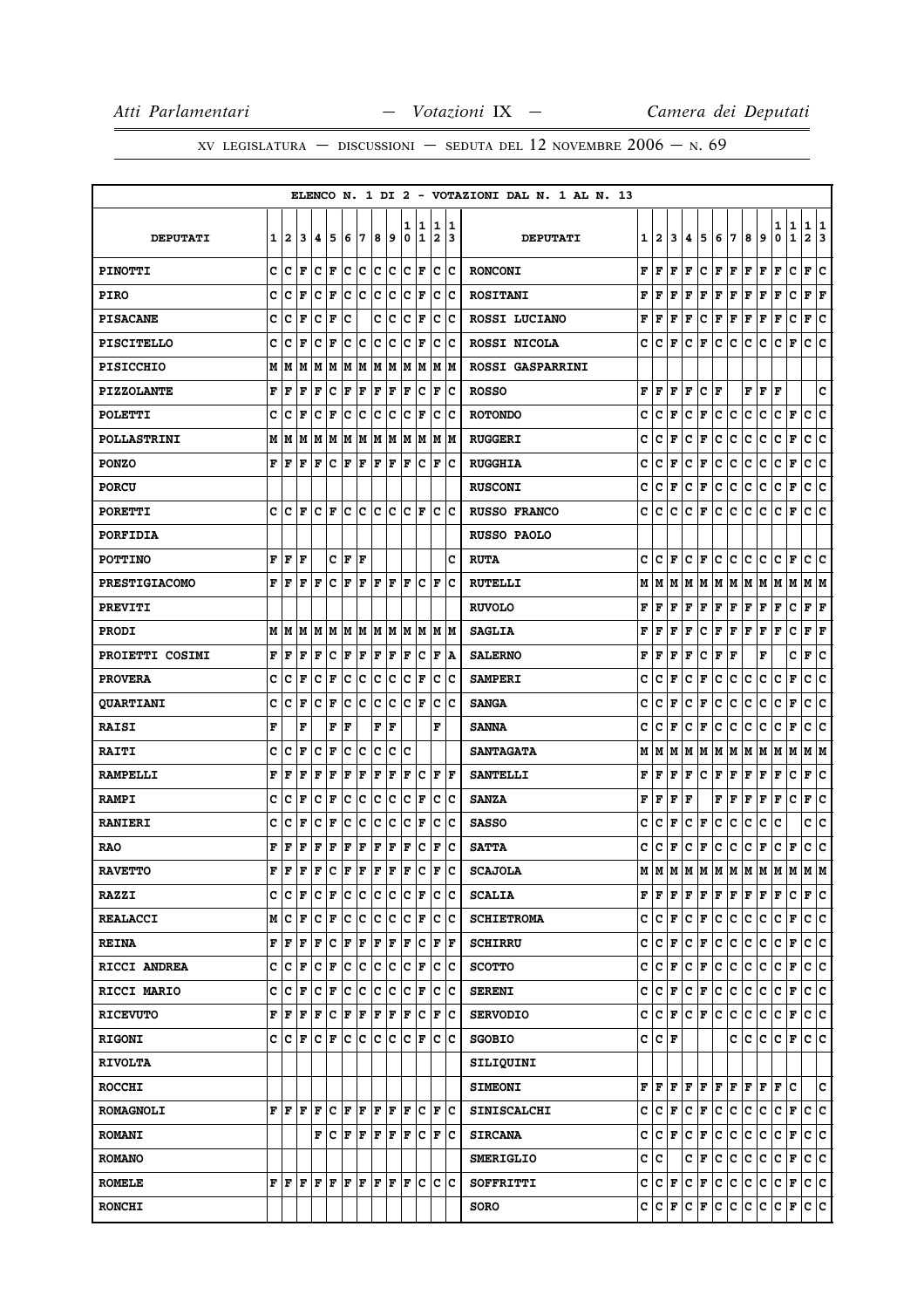|                      |   |     |     |                      |             |     |     |           |     |              |        |                              |        | ELENCO N. 1 DI 2 - VOTAZIONI DAL N. 1 AL N. 13 |   |                           |                      |             |                    |                      |               |                      |     |         |                   |                              |
|----------------------|---|-----|-----|----------------------|-------------|-----|-----|-----------|-----|--------------|--------|------------------------------|--------|------------------------------------------------|---|---------------------------|----------------------|-------------|--------------------|----------------------|---------------|----------------------|-----|---------|-------------------|------------------------------|
| <b>DEPUTATI</b>      | 1 | 2   | 3   | 4                    | 5           | 6   | 7   | 8         | 9   | ı<br>0       | 1<br>1 | 1<br>$\overline{\mathbf{2}}$ | 1<br>3 | <b>DEPUTATI</b>                                | 1 | 2                         | 3                    | 4           | 5                  | 6                    | 7             | 8                    | 9   | 1<br>0  | 1<br>$\mathbf{1}$ | 1<br>1<br>$\mathbf{2}$<br>13 |
| <b>PINOTTI</b>       | c | c   | F   | c                    | F           | c   | c   | c         | с   | $\mathbf{C}$ | F      | c                            | Ιc     | <b>RONCONI</b>                                 | F | l F                       | F                    | F           | c                  | $\mathbf F$          | F             | F                    | F   | F       | с<br>F            | ١c                           |
| <b>PIRO</b>          | C | c   | F   | c                    | $\mathbf F$ | c   | c   | c         | c   | c            | F      | c                            | c      | <b>ROSITANI</b>                                | F | F                         | F                    | F           | F                  | F                    | F             | F                    | F   | F       | c<br>F            | F                            |
| <b>PISACANE</b>      | C | c   | F   | C                    | $\mathbf F$ | c   |     | c         | c   | C            | F      | c                            | Ιc     | ROSSI LUCIANO                                  | F | l F                       | F                    | F           | c                  | $\mathbf F$          | F             | F                    | F   | F       | c<br>F            | ١c                           |
| <b>PISCITELLO</b>    | c | c   | F   | c                    | F           | c   | ∣c  | c         | c   | c            | F      | c                            | Iс     | ROSSI NICOLA                                   | c | c                         | F                    | c           | F                  | с                    | c             | с                    | c   | с       | F                 | lc.<br>c                     |
| <b>PISICCHIO</b>     | М | M   | M   | M                    | M           | lМ  | M   | M         | M   | M            | M      | M                            | M      | ROSSI GASPARRINI                               |   |                           |                      |             |                    |                      |               |                      |     |         |                   |                              |
| <b>PIZZOLANTE</b>    | F | F   | F   | F                    | $\mathbf C$ | F   | F   | F         | F   | F            | c      | F                            | Iс     | <b>ROSSO</b>                                   | F | F                         | F                    | F           | c                  | l F                  |               | F                    | F   | F       |                   | c                            |
| <b>POLETTI</b>       | c | c   | F   | c                    | F           | c   | c   | c         | c   | c            | F      | c                            | c      | <b>ROTONDO</b>                                 | c | c                         | F                    | c           | F                  | с                    | c             | с                    | с   | c       | F<br>с            | c                            |
| <b>POLLASTRINI</b>   | M | M   | M   | M                    | M           | M   | M   | M         | M   | M            | M      |                              | M  M   | <b>RUGGERI</b>                                 | c | с                         | F                    | с           | F                  | c                    | c             | с                    | с   | c       | F<br>С            | c                            |
| <b>PONZO</b>         | F | F   | F   | F                    | C           | F   | F   | F         | F   | l F          | c      | F                            | c      | <b>RUGGHIA</b>                                 | c | c                         | F                    | c           | F                  | c                    | с             | с                    | c   | c       | F                 | c<br> c                      |
| <b>PORCU</b>         |   |     |     |                      |             |     |     |           |     |              |        |                              |        | <b>RUSCONI</b>                                 | c | c                         | F                    | c           | F                  | c                    | c             | c                    | c   | c       | F                 | lc.<br>c                     |
| <b>PORETTI</b>       | c | Iс  | l F | Iс                   | ΙF          | lc. | ١c  | c         | lc  | c            | F      | c                            | Ιc     | <b>RUSSO FRANCO</b>                            | c | c                         | c                    | с           | F                  | с                    | c             | c                    | c   | c       | F                 | lc.<br>c                     |
| <b>PORFIDIA</b>      |   |     |     |                      |             |     |     |           |     |              |        |                              |        | <b>RUSSO PAOLO</b>                             |   |                           |                      |             |                    |                      |               |                      |     |         |                   |                              |
| <b>POTTINO</b>       | F | F   | F   |                      | C           | F   | l F |           |     |              |        |                              | c      | <b>RUTA</b>                                    | c | c                         | F                    | c           | F                  | c                    | c             | c                    | c   | c       | F<br>c            | ١c                           |
| <b>PRESTIGIACOMO</b> | F | F   | F   | F                    | c           | F   | F   | F         | F   | ΙF           | с      | ΙF                           | c      | <b>RUTELLI</b>                                 | М | M                         | lМ                   | M           | M                  |                      | M   M   M   M |                      |     | MM      |                   | M  M                         |
| <b>PREVITI</b>       |   |     |     |                      |             |     |     |           |     |              |        |                              |        | <b>RUVOLO</b>                                  | F | F                         | F                    | F           | F                  | Г                    | F             | F                    | F   | F       | c                 | F F                          |
| <b>PRODI</b>         | M | M   | M   | M                    | M           | M   | M   | M         | M   | M            | M      | M                            | M      | <b>SAGLIA</b>                                  | F | F                         | F                    | F           | с                  | $\mathbf F$          | F             | F                    | F   | F       | c<br>F            | F                            |
| PROIETTI COSIMI      | F | F   | l F | F                    | c           | F   | F   | F         | F   | l F          | c      | l F                          | A      | <b>SALERNO</b>                                 | F | l F                       | F                    | F           | c                  | $\mathbf F$          | $\mathbf{F}$  |                      | F   |         | c<br>F            | lc.                          |
| <b>PROVERA</b>       | c | c   | F   | c                    | $\mathbf F$ | c   | c   | c         | c   | c            | F      | c                            | Ιc     | <b>SAMPERI</b>                                 | c | c                         | F                    | c           | F                  | c                    | c             | c                    | с   | с       | F<br>c            | ١c                           |
| <b>QUARTIANI</b>     | c | c   | F   | c                    | F           | c   | c   | c         | lc  | c            | F      | c                            | c      | <b>SANGA</b>                                   | c | c                         | F                    | c           | F                  | c                    | c             | с                    | c   | c       | $\mathbf F$<br>c  | c                            |
| <b>RAISI</b>         | F |     | F   |                      | F           | F   |     | F         | F   |              |        | F                            |        | <b>SANNA</b>                                   | c | с                         | F                    | c           | F                  | c                    | c             | с                    | с   | c       | F<br>c            | lc.                          |
| <b>RAITI</b>         | c | c   | F   | c                    | $\mathbf F$ | c   | c   | c         | c   | c            |        |                              |        | <b>SANTAGATA</b>                               | М | м                         | M                    | M           | M                  | M                    | M             | M                    | M   | M       | M                 | M   M                        |
| <b>RAMPELLI</b>      | F | F   | F   | F                    | F           | F   | F   | F         | F   | F            | c      | F                            | lF     | <b>SANTELLI</b>                                | F | F                         | F                    | F           | c                  | Г                    | F             | F                    | F   | г       | c<br>Г            | c                            |
| <b>RAMPI</b>         | c | c   | F   | c                    | $\mathbf F$ | c   | c   | C         | c   | C            | F      | c                            | c      | <b>SANZA</b>                                   | F | F                         | F                    | F           |                    | F                    | F             | F                    | F   | F       | c<br>F            | c                            |
| <b>RANIERI</b>       | C | c   | F   | C                    | F           | C   | c   | C         | c   | C            | F      | c                            | lc     | <b>SASSO</b>                                   | c | c                         | F                    | c           | F                  | c                    | с             | c                    | c   | c       |                   | c<br> c                      |
| <b>RAO</b>           | F | F   | F   | F                    | $\mathbf F$ | F   | F   | F         | F   | F            | c      | ΙF                           | Ιc     | <b>SATTA</b>                                   | c | с                         | F                    | c           | F                  | $\mathbf c$          | c             | c                    | F   | c       | c<br>F            | lc.                          |
| <b>RAVETTO</b>       | F | F   | l F | F                    | lc.         | F   | F   | F         | F   | F            | c      | l F                          | c      | <b>SCAJOLA</b>                                 | М | lм                        | M                    | M           | M                  | M                    | M             | M                    | M   | M       | M<br>lМ           | M                            |
| <b>RAZZI</b>         | с | lc. | F   | $ {\bf C}  {\bf F} $ |             | lc. | c   | c         | c   | lc.          | F      | c                            | lc.    | <b>SCALIA</b>                                  |   | ${\bf F}$ $\bf F$ $\bf F$ |                      | F           | F                  | $ {\bf F}  {\bf F} $ |               | $ {\bf F}  {\bf F} $ |     | F       | lc.               | F C                          |
| <b>REALACCI</b>      | M | c   | l F | c                    | F           | lc. | c   | c         | с   | c            | F      | c                            | Iс     | <b>SCHIETROMA</b>                              | c | c                         | F                    | c           | F                  | c                    | c             | c                    | c   | c       | F                 | c c                          |
| <b>REINA</b>         | F | F   | F   | F                    | c           | F   | F   | F         | F   | F            | c      | F                            | F      | <b>SCHIRRU</b>                                 | c | c                         | F                    | c           | F                  | c                    | c             | c                    | c   | c       | F                 | c c                          |
| <b>RICCI ANDREA</b>  | C | c   | F   | c                    | F           | c   | ∣c  | c         | lc  | lc.          | F      | lc.                          | Ιc     | <b>SCOTTO</b>                                  | C | c                         | F                    | $\mathbf c$ | F                  | $\mathbf c$          | c             | c.                   | c   | c       | F                 | c c                          |
| <b>RICCI MARIO</b>   | C | c   | l F | c                    | F           | lc. | lc. | c         | Ιc  | c            | lF.    | c                            | Ιc     | <b>SERENI</b>                                  | c | $ {\bf C}\>  {\bf F} $    |                      | c.          | F                  | c.                   | lc.           | ∣c∙                  | lc. | c       | F                 | c c                          |
| <b>RICEVUTO</b>      | F | F   | F   | F                    | ∣c          | F   | F   | F         | F   | F            | lc.    | F                            | lc     | <b>SERVODIO</b>                                | c |                           | $ {\bf C}  {\bf F} $ |             | $ {\bf C}\, $ F    | c.                   | lc.           | c                    | lc. | c       | F                 | c c                          |
| <b>RIGONI</b>        | c | ١c  | F   | Iс                   | l F         | lc. | ١c  | c         | lc. | c            | F      | c                            | Ιc     | <b>SGOBIO</b>                                  |   | C C F                     |                      |             |                    |                      | c             | lc.                  | c   | с       | F                 | c c                          |
| <b>RIVOLTA</b>       |   |     |     |                      |             |     |     |           |     |              |        |                              |        | SILIQUINI                                      |   |                           |                      |             |                    |                      |               |                      |     |         |                   |                              |
| <b>ROCCHI</b>        |   |     |     |                      |             |     |     |           |     |              |        |                              |        | <b>SIMEONI</b>                                 | F | lF.                       | F                    | F           | F                  | F F                  |               | F                    | F   | F       | lc.               | c                            |
| <b>ROMAGNOLI</b>     | F | F F |     | F                    | c           | F F |     | F F       |     | lF.          | lc.    | F                            | lc     | <b>SINISCALCHI</b>                             | c |                           | $ {\tt C} \,  $ F    |             | $ {\bf C}\, $ F    | c.                   | c.            | c.                   | c   | c       | F                 | c c                          |
| <b>ROMANI</b>        |   |     |     | F                    | lc.         | F   | l F | F         | F   | F            | lc.    | F                            | lc     | <b>SIRCANA</b>                                 | C |                           | C F                  | c.          | F                  | $\mathbf{C}$         | c             | c.                   | c   | c       | F                 | c c                          |
| <b>ROMANO</b>        |   |     |     |                      |             |     |     |           |     |              |        |                              |        | <b>SMERIGLIO</b>                               | c | lc.                       |                      |             | C F                | c.                   | lc.           | c.                   | lc. | lc.     | F                 | c c                          |
| <b>ROMELE</b>        |   | FF  | lF. | F F                  |             |     |     | F F F F F |     |              | ١c     |                              | lc Ic  | SOFFRITTI                                      | c | $ {\bf C}  {\bf F} $      |                      |             | $ {\bf C}\, $ F    | c.                   | c             | lc.                  | c   | c       | F                 | c c                          |
| <b>RONCHI</b>        |   |     |     |                      |             |     |     |           |     |              |        |                              |        | <b>SORO</b>                                    |   | C C F                     |                      |             | $ c _{\mathbf{F}}$ | c.                   | lc.           | c c                  |     | $ C $ F |                   | c c                          |